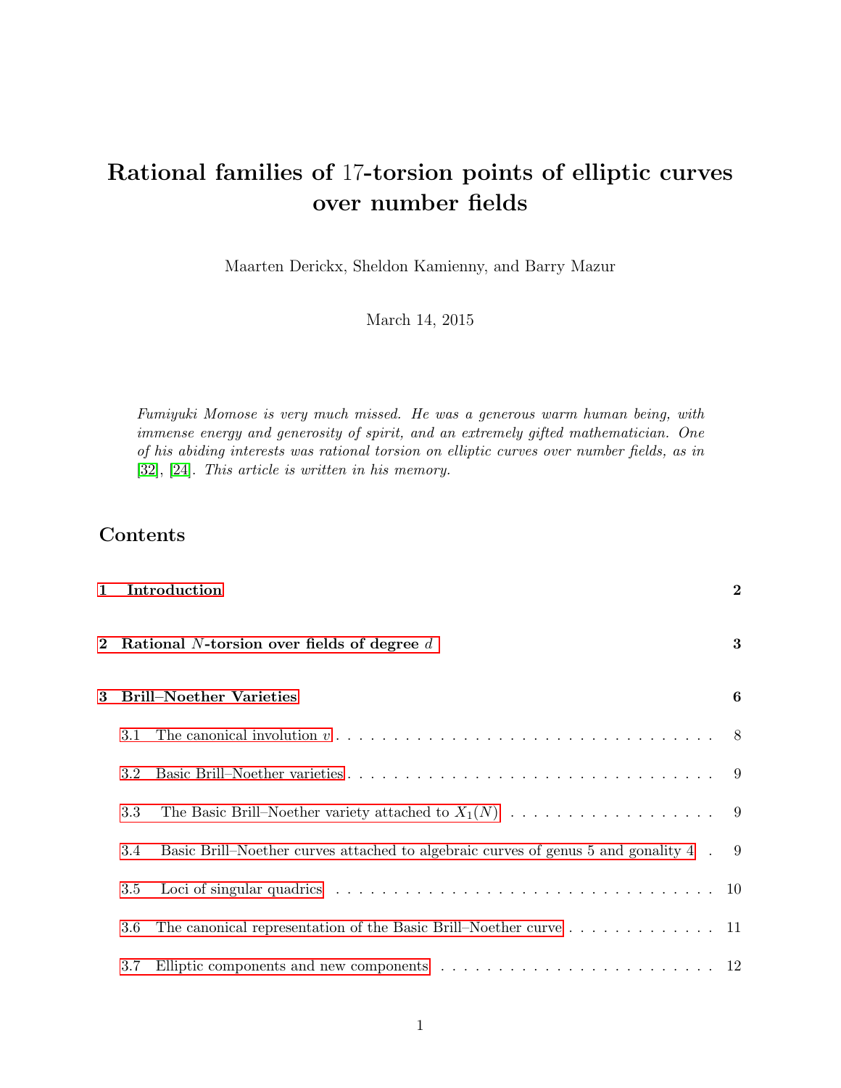# Rational families of 17-torsion points of elliptic curves over number fields

Maarten Derickx, Sheldon Kamienny, and Barry Mazur

March 14, 2015

Fumiyuki Momose is very much missed. He was a generous warm human being, with immense energy and generosity of spirit, and an extremely gifted mathematician. One of his abiding interests was rational torsion on elliptic curves over number fields, as in [\[32\]](#page-27-0), [\[24\]](#page-27-1). This article is written in his memory.

# Contents

| Introduction<br>$\mathbf{1}$                                                          |     |                                                                                                                                                            |  |  |  |  |
|---------------------------------------------------------------------------------------|-----|------------------------------------------------------------------------------------------------------------------------------------------------------------|--|--|--|--|
| 2 Rational N-torsion over fields of degree $d$<br><b>Brill–Noether Varieties</b><br>3 |     |                                                                                                                                                            |  |  |  |  |
|                                                                                       |     |                                                                                                                                                            |  |  |  |  |
|                                                                                       | 3.2 |                                                                                                                                                            |  |  |  |  |
|                                                                                       | 3.3 |                                                                                                                                                            |  |  |  |  |
|                                                                                       | 3.4 | Basic Brill–Noether curves attached to algebraic curves of genus 5 and gonality 4 . 9                                                                      |  |  |  |  |
|                                                                                       | 3.5 | Loci of singular quadrics $\ldots \ldots \ldots \ldots \ldots \ldots \ldots \ldots \ldots \ldots \ldots$                                                   |  |  |  |  |
|                                                                                       | 3.6 | The canonical representation of the Basic Brill–Noether curve $\dots \dots \dots \dots \dots$ 11                                                           |  |  |  |  |
|                                                                                       | 3.7 | Elliptic components and new components $\dots \dots \dots \dots \dots \dots \dots \dots \dots \dots \dots \dots \dots \dots \dots \dots \dots \dots \dots$ |  |  |  |  |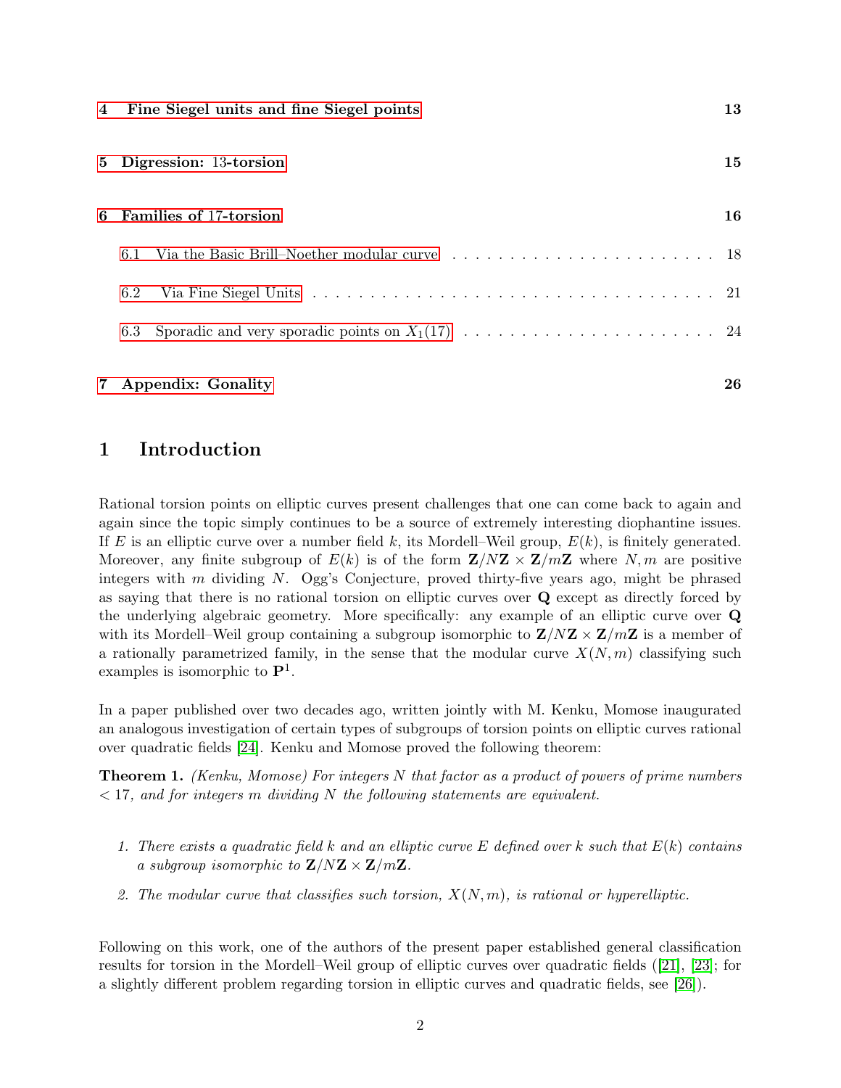|                          | 4 Fine Siegel units and fine Siegel points                                                                                                                                                     | 13     |  |  |  |
|--------------------------|------------------------------------------------------------------------------------------------------------------------------------------------------------------------------------------------|--------|--|--|--|
|                          | 5 Digression: 13-torsion                                                                                                                                                                       | $15\,$ |  |  |  |
| 6 Families of 17-torsion |                                                                                                                                                                                                |        |  |  |  |
|                          | Via the Basic Brill–Noether modular curve enterstance enterstance enterstance of the Basic Brill–Noether modular curve enterstance enterstance of the Basic Brill–Noether modular curve<br>6.1 |        |  |  |  |
|                          | 6.2                                                                                                                                                                                            |        |  |  |  |
|                          | Sporadic and very sporadic points on $X_1(17) \ldots \ldots \ldots \ldots \ldots \ldots \ldots \ldots \ldots$ 24<br>6.3                                                                        |        |  |  |  |
|                          | 7 Appendix: Gonality                                                                                                                                                                           | 26     |  |  |  |

# <span id="page-1-0"></span>1 Introduction

Rational torsion points on elliptic curves present challenges that one can come back to again and again since the topic simply continues to be a source of extremely interesting diophantine issues. If E is an elliptic curve over a number field k, its Mordell–Weil group,  $E(k)$ , is finitely generated. Moreover, any finite subgroup of  $E(k)$  is of the form  $\mathbf{Z}/N\mathbf{Z} \times \mathbf{Z}/m\mathbf{Z}$  where N, m are positive integers with m dividing N. Ogg's Conjecture, proved thirty-five years ago, might be phrased as saying that there is no rational torsion on elliptic curves over Q except as directly forced by the underlying algebraic geometry. More specifically: any example of an elliptic curve over Q with its Mordell–Weil group containing a subgroup isomorphic to  $\mathbf{Z}/N\mathbf{Z} \times \mathbf{Z}/m\mathbf{Z}$  is a member of a rationally parametrized family, in the sense that the modular curve  $X(N, m)$  classifying such examples is isomorphic to  $\mathbf{P}^1$ .

In a paper published over two decades ago, written jointly with M. Kenku, Momose inaugurated an analogous investigation of certain types of subgroups of torsion points on elliptic curves rational over quadratic fields [\[24\]](#page-27-1). Kenku and Momose proved the following theorem:

**Theorem 1.** (Kenku, Momose) For integers N that factor as a product of powers of prime numbers  $<$  17, and for integers m dividing N the following statements are equivalent.

- 1. There exists a quadratic field k and an elliptic curve E defined over k such that  $E(k)$  contains a subgroup isomorphic to  $\mathbf{Z}/N\mathbf{Z} \times \mathbf{Z}/m\mathbf{Z}$ .
- 2. The modular curve that classifies such torsion,  $X(N, m)$ , is rational or hyperelliptic.

Following on this work, one of the authors of the present paper established general classification results for torsion in the Mordell–Weil group of elliptic curves over quadratic fields([\[21\]](#page-27-2), [\[23\]](#page-27-3); for a slightly different problem regarding torsion in elliptic curves and quadratic fields, see [\[26\]](#page-27-4)).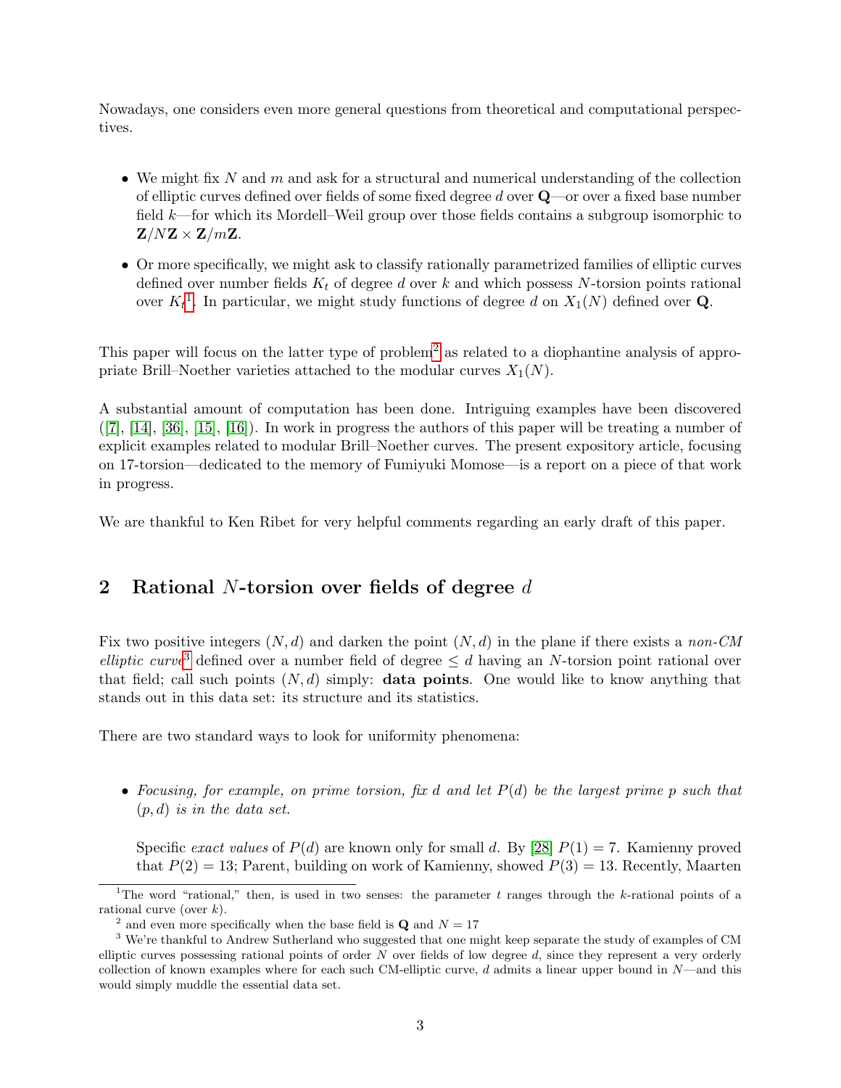Nowadays, one considers even more general questions from theoretical and computational perspectives.

- We might fix N and  $m$  and ask for a structural and numerical understanding of the collection of elliptic curves defined over fields of some fixed degree  $d$  over  $\mathbf{Q}$ —or over a fixed base number field k—for which its Mordell–Weil group over those fields contains a subgroup isomorphic to  $\mathbf{Z}/N\mathbf{Z} \times \mathbf{Z}/m\mathbf{Z}$ .
- Or more specifically, we might ask to classify rationally parametrized families of elliptic curves defined over number fields  $K_t$  of degree d over k and which possess N-torsion points rational over  $K_t$ <sup>[1](#page-2-1)</sup>. In particular, we might study functions of degree d on  $X_1(N)$  defined over **Q**.

This paper will focus on the latter type of problem<sup>[2](#page-2-2)</sup> as related to a diophantine analysis of appropriate Brill–Noether varieties attached to the modular curves  $X_1(N)$ .

A substantial amount of computation has been done. Intriguing examples have been discovered  $([7], [14], [36], [15], [16])$  $([7], [14], [36], [15], [16])$  $([7], [14], [36], [15], [16])$  $([7], [14], [36], [15], [16])$  $([7], [14], [36], [15], [16])$  $([7], [14], [36], [15], [16])$  $([7], [14], [36], [15], [16])$  $([7], [14], [36], [15], [16])$  $([7], [14], [36], [15], [16])$  $([7], [14], [36], [15], [16])$  $([7], [14], [36], [15], [16])$ . In work in progress the authors of this paper will be treating a number of explicit examples related to modular Brill–Noether curves. The present expository article, focusing on 17-torsion—dedicated to the memory of Fumiyuki Momose—is a report on a piece of that work in progress.

We are thankful to Ken Ribet for very helpful comments regarding an early draft of this paper.

# <span id="page-2-0"></span>2 Rational N-torsion over fields of degree  $d$

Fix two positive integers  $(N, d)$  and darken the point  $(N, d)$  in the plane if there exists a non-CM elliptic curve<sup>[3](#page-2-3)</sup> defined over a number field of degree  $\leq d$  having an N-torsion point rational over that field; call such points  $(N, d)$  simply: **data points**. One would like to know anything that stands out in this data set: its structure and its statistics.

There are two standard ways to look for uniformity phenomena:

• Focusing, for example, on prime torsion, fix d and let  $P(d)$  be the largest prime p such that  $(p, d)$  is in the data set.

Specific exact values of  $P(d)$  are known only for small d. By [\[28\]](#page-27-6)  $P(1) = 7$ . Kamienny proved that  $P(2) = 13$ ; Parent, building on work of Kamienny, showed  $P(3) = 13$ . Recently, Maarten

<span id="page-2-1"></span><sup>&</sup>lt;sup>1</sup>The word "rational," then, is used in two senses: the parameter t ranges through the k-rational points of a rational curve (over  $k$ ).

<span id="page-2-3"></span><span id="page-2-2"></span><sup>&</sup>lt;sup>2</sup> and even more specifically when the base field is **Q** and  $N = 17$ 

<sup>3</sup> We're thankful to Andrew Sutherland who suggested that one might keep separate the study of examples of CM elliptic curves possessing rational points of order  $N$  over fields of low degree  $d$ , since they represent a very orderly collection of known examples where for each such CM-elliptic curve,  $d$  admits a linear upper bound in  $N$ —and this would simply muddle the essential data set.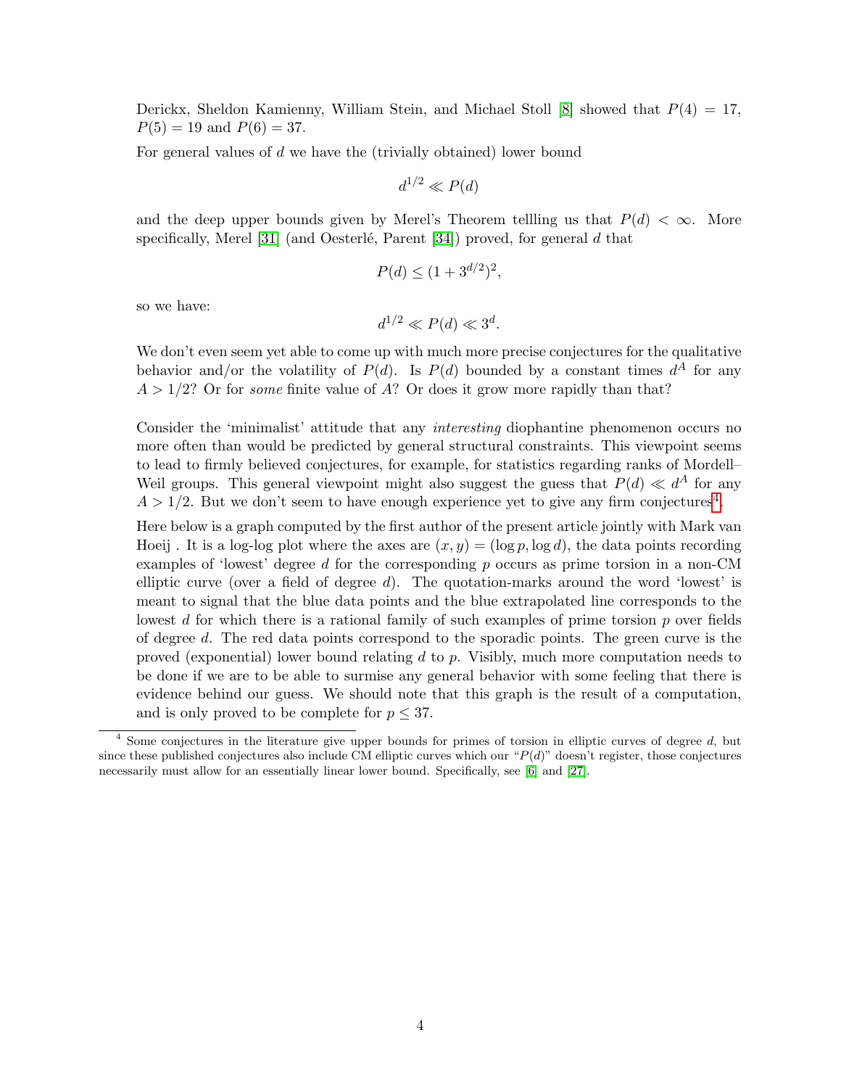Derickx, Sheldon Kamienny, William Stein, and Michael Stoll [\[8\]](#page-26-4) showed that  $P(4) = 17$ ,  $P(5) = 19$  and  $P(6) = 37$ .

For general values of d we have the (trivially obtained) lower bound

$$
d^{1/2} \ll P(d)
$$

and the deep upper bounds given by Merel's Theorem tellling us that  $P(d) < \infty$ . More specifically, Merel [\[31\]](#page-27-7) (and Oesterlé, Parent  $[34]$ ) proved, for general d that

$$
P(d) \le (1 + 3^{d/2})^2,
$$

so we have:

$$
d^{1/2} \ll P(d) \ll 3^d.
$$

We don't even seem yet able to come up with much more precise conjectures for the qualitative behavior and/or the volatility of  $P(d)$ . Is  $P(d)$  bounded by a constant times  $d^A$  for any  $A > 1/2$ ? Or for some finite value of A? Or does it grow more rapidly than that?

Consider the 'minimalist' attitude that any interesting diophantine phenomenon occurs no more often than would be predicted by general structural constraints. This viewpoint seems to lead to firmly believed conjectures, for example, for statistics regarding ranks of Mordell– Weil groups. This general viewpoint might also suggest the guess that  $P(d) \ll d^A$  for any  $A > 1/2$ . But we don't seem to have enough experience yet to give any firm conjectures<sup>[4](#page-3-0)</sup>.

Here below is a graph computed by the first author of the present article jointly with Mark van Hoeij. It is a log-log plot where the axes are  $(x, y) = (\log p, \log d)$ , the data points recording examples of 'lowest' degree d for the corresponding  $p$  occurs as prime torsion in a non-CM elliptic curve (over a field of degree  $d$ ). The quotation-marks around the word 'lowest' is meant to signal that the blue data points and the blue extrapolated line corresponds to the lowest d for which there is a rational family of such examples of prime torsion p over fields of degree d. The red data points correspond to the sporadic points. The green curve is the proved (exponential) lower bound relating d to p. Visibly, much more computation needs to be done if we are to be able to surmise any general behavior with some feeling that there is evidence behind our guess. We should note that this graph is the result of a computation, and is only proved to be complete for  $p \leq 37$ .

<span id="page-3-0"></span> $4$  Some conjectures in the literature give upper bounds for primes of torsion in elliptic curves of degree  $d$ , but since these published conjectures also include CM elliptic curves which our " $P(d)$ " doesn't register, those conjectures necessarily must allow for an essentially linear lower bound. Specifically, see [\[6\]](#page-26-5) and [\[27\]](#page-27-9).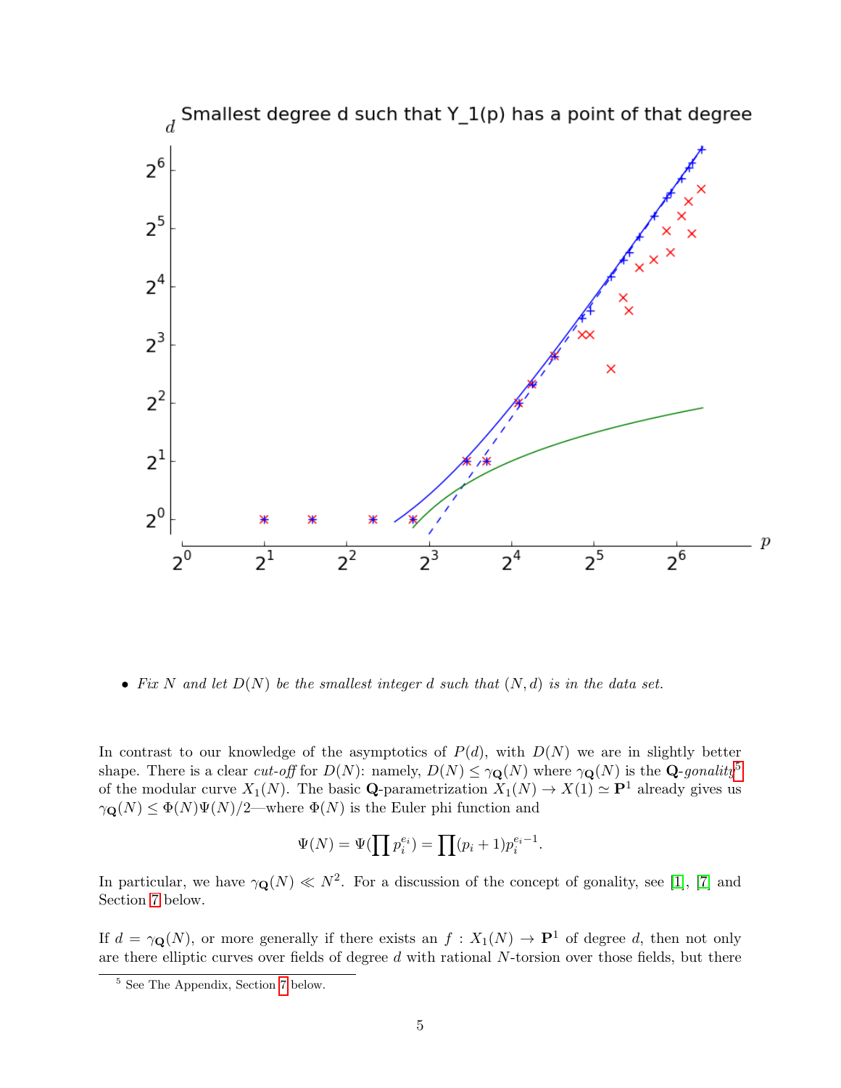

• Fix N and let  $D(N)$  be the smallest integer d such that  $(N, d)$  is in the data set.

In contrast to our knowledge of the asymptotics of  $P(d)$ , with  $D(N)$  we are in slightly better shape. There is a clear cut-off for  $D(N)$ : namely,  $D(N) \leq \gamma_{\mathbf{Q}}(N)$  where  $\gamma_{\mathbf{Q}}(N)$  is the  $\mathbf{Q}$ -gonality<sup>[5](#page-4-0)</sup> of the modular curve  $X_1(N)$ . The basic **Q**-parametrization  $X_1(N) \to X(1) \simeq \mathbf{P}^1$  already gives us  $\gamma_{\mathbf{Q}}(N) \leq \Phi(N)\Psi(N)/2$ —where  $\Phi(N)$  is the Euler phi function and

$$
\Psi(N) = \Psi(\prod p_i^{e_i}) = \prod (p_i + 1)p_i^{e_i - 1}
$$

.

In particular, we have  $\gamma_{\mathbf{Q}}(N) \ll N^2$ . For a discussion of the concept of gonality, see [\[1\]](#page-25-1), [\[7\]](#page-26-0) and Section [7](#page-25-0) below.

If  $d = \gamma_{\mathbf{Q}}(N)$ , or more generally if there exists an  $f : X_1(N) \to \mathbf{P}^1$  of degree d, then not only are there elliptic curves over fields of degree  $d$  with rational  $N$ -torsion over those fields, but there

<span id="page-4-0"></span><sup>5</sup> See The Appendix, Section [7](#page-25-0) below.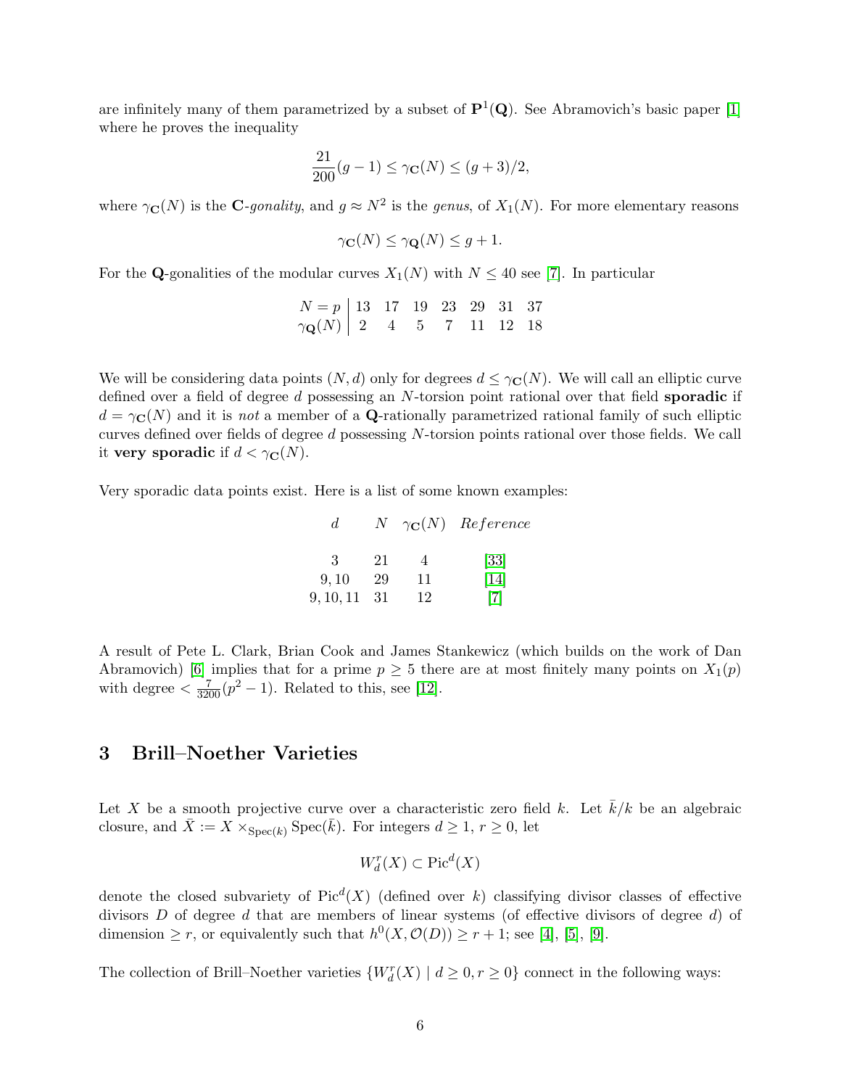are infinitely many of them parametrized by a subset of  $\mathbf{P}^1(\mathbf{Q})$ . See Abramovich's basic paper [\[1\]](#page-25-1) where he proves the inequality

$$
\frac{21}{200}(g-1) \le \gamma_{\mathbf{C}}(N) \le (g+3)/2,
$$

where  $\gamma_{\mathbf{C}}(N)$  is the C-gonality, and  $g \approx N^2$  is the genus, of  $X_1(N)$ . For more elementary reasons

$$
\gamma_{\mathbf{C}}(N) \le \gamma_{\mathbf{Q}}(N) \le g + 1.
$$

For the Q-gonalities of the modular curves  $X_1(N)$  with  $N \leq 40$  see [\[7\]](#page-26-0). In particular

| $N = p$ 13 17 19 23 29 31 37                                                                            |  |  |  |  |
|---------------------------------------------------------------------------------------------------------|--|--|--|--|
| $\gamma_{\mathbf{Q}}(N)\left[\begin{array}{cccccccccc} 2 & 4 & 5 & 7 & 11 & 12 & 18 \end{array}\right]$ |  |  |  |  |

We will be considering data points  $(N, d)$  only for degrees  $d \leq \gamma_{\mathbf{C}}(N)$ . We will call an elliptic curve defined over a field of degree d possessing an N-torsion point rational over that field sporadic if  $d = \gamma_{\mathbf{C}}(N)$  and it is not a member of a Q-rationally parametrized rational family of such elliptic curves defined over fields of degree d possessing N-torsion points rational over those fields. We call it very sporadic if  $d < \gamma_{\mathbf{C}}(N)$ .

Very sporadic data points exist. Here is a list of some known examples:

| d.        | $N_{-}$ |    | $\gamma_{\mathbf{C}}(N)$ Reference |
|-----------|---------|----|------------------------------------|
| 3         | 21      | 4  | $\left[33\right]$                  |
| 9,10      | 29      | 11 | [14]                               |
| 9, 10, 11 | -31     | 12 | $[7]$                              |

A result of Pete L. Clark, Brian Cook and James Stankewicz (which builds on the work of Dan Abramovich) [\[6\]](#page-26-5) implies that for a prime  $p \geq 5$  there are at most finitely many points on  $X_1(p)$ with degree  $\langle \frac{7}{3200}(p^2-1) \rangle$ . Related to this, see [\[12\]](#page-26-6).

# <span id="page-5-0"></span>3 Brill–Noether Varieties

Let X be a smooth projective curve over a characteristic zero field k. Let  $\bar{k}/k$  be an algebraic closure, and  $\bar{X} := X \times_{\text{Spec}(k)} \text{Spec}(\bar{k})$ . For integers  $d \geq 1, r \geq 0$ , let

$$
W_d^r(X) \subset \text{Pic}^d(X)
$$

denote the closed subvariety of  $Pic<sup>d</sup>(X)$  (defined over k) classifying divisor classes of effective divisors D of degree d that are members of linear systems (of effective divisors of degree d) of dimension  $\geq r$ , or equivalently such that  $h^0(X, \mathcal{O}(D)) \geq r+1$ ; see [\[4\]](#page-26-7), [\[5\]](#page-26-8), [\[9\]](#page-26-9).

The collection of Brill–Noether varieties  $\{W_d^r(X) \mid d \geq 0, r \geq 0\}$  connect in the following ways: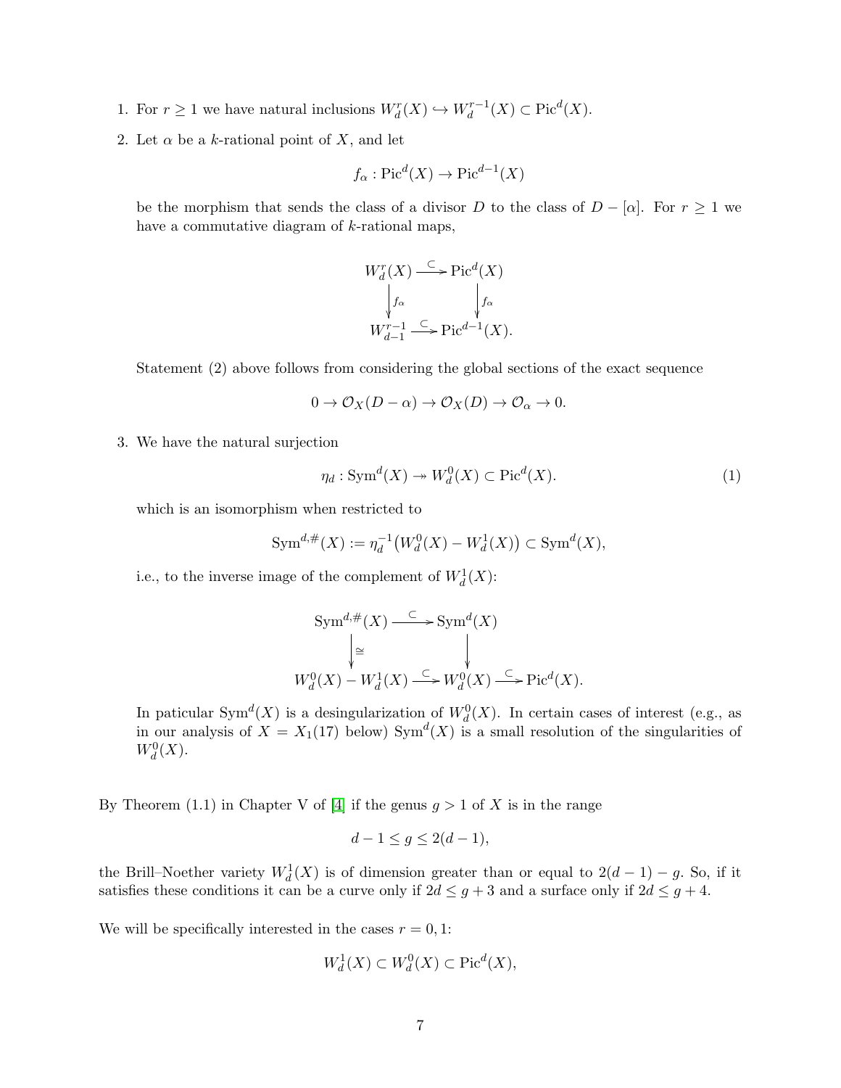- 1. For  $r \geq 1$  we have natural inclusions  $W_d^r(X) \hookrightarrow W_d^{r-1}(X) \subset \text{Pic}^d(X)$ .
- 2. Let  $\alpha$  be a k-rational point of X, and let

$$
f_{\alpha}: \mathrm{Pic}^d(X) \to \mathrm{Pic}^{d-1}(X)
$$

be the morphism that sends the class of a divisor D to the class of  $D - [\alpha]$ . For  $r \ge 1$  we have a commutative diagram of  $k$ -rational maps,

$$
W_d^r(X) \xrightarrow{\subset} \text{Pic}^d(X)
$$

$$
\downarrow_{f_\alpha} \qquad \qquad \downarrow_{f_\alpha}
$$

$$
W_{d-1}^{r-1} \xrightarrow{\subset} \text{Pic}^{d-1}(X).
$$

Statement (2) above follows from considering the global sections of the exact sequence

$$
0 \to \mathcal{O}_X(D - \alpha) \to \mathcal{O}_X(D) \to \mathcal{O}_\alpha \to 0.
$$

3. We have the natural surjection

$$
\eta_d: \operatorname{Sym}^d(X) \to W_d^0(X) \subset \operatorname{Pic}^d(X). \tag{1}
$$

which is an isomorphism when restricted to

$$
{\rm Sym}^{d,\#}(X):=\eta_d^{-1}\big(W^0_d(X)-W^1_d(X)\big)\subset {\rm Sym}^d(X),
$$

i.e., to the inverse image of the complement of  $W_d^1(X)$ :

$$
\text{Sym}^{d, \#}(X) \xrightarrow{\subset} \text{Sym}^{d}(X)
$$

$$
\downarrow \cong \qquad \qquad \downarrow
$$

$$
W_d^0(X) - W_d^1(X) \xrightarrow{\subset} W_d^0(X) \xrightarrow{\subset} \text{Pic}^d(X).
$$

In paticular Sym<sup> $d(X)$ </sup> is a desingularization of  $W_d^0(X)$ . In certain cases of interest (e.g., as in our analysis of  $X = X_1(17)$  below)  $Sym^d(X)$  is a small resolution of the singularities of  $W_d^0(X)$ .

By Theorem (1.1) in Chapter V of [\[4\]](#page-26-7) if the genus  $g > 1$  of X is in the range

$$
d-1 \le g \le 2(d-1),
$$

the Brill–Noether variety  $W_d^1(X)$  is of dimension greater than or equal to  $2(d-1) - g$ . So, if it satisfies these conditions it can be a curve only if  $2d \leq g+3$  and a surface only if  $2d \leq g+4$ .

We will be specifically interested in the cases  $r = 0, 1$ :

$$
W_d^1(X) \subset W_d^0(X) \subset \text{Pic}^d(X),
$$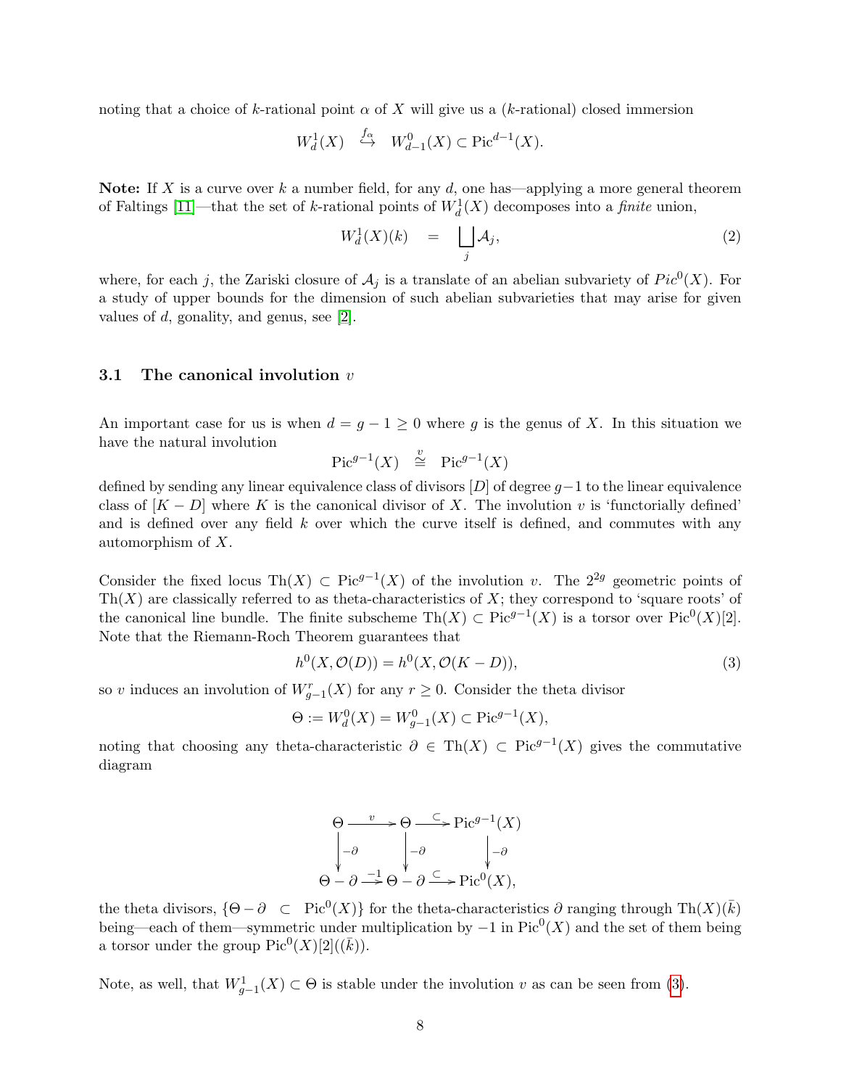noting that a choice of k-rational point  $\alpha$  of X will give us a (k-rational) closed immersion

$$
W_d^1(X) \stackrel{f_\alpha}{\hookrightarrow} W_{d-1}^0(X) \subset \text{Pic}^{d-1}(X).
$$

**Note:** If X is a curve over k a number field, for any d, one has—applying a more general theorem of Faltings [\[11\]](#page-26-10)—that the set of k-rational points of  $W_d^1(X)$  decomposes into a *finite* union,

$$
W_d^1(X)(k) = \bigsqcup_j \mathcal{A}_j,\tag{2}
$$

where, for each j, the Zariski closure of  $\mathcal{A}_j$  is a translate of an abelian subvariety of  $Pic^0(X)$ . For a study of upper bounds for the dimension of such abelian subvarieties that may arise for given values of d, gonality, and genus, see [\[2\]](#page-26-11).

#### <span id="page-7-0"></span>3.1 The canonical involution  $v$

An important case for us is when  $d = g - 1 \geq 0$  where g is the genus of X. In this situation we have the natural involution

$$
\mathrm{Pic}^{g-1}(X) \stackrel{v}{\cong} \mathrm{Pic}^{g-1}(X)
$$

defined by sending any linear equivalence class of divisors  $[D]$  of degree  $g-1$  to the linear equivalence class of  $[K - D]$  where K is the canonical divisor of X. The involution v is 'functorially defined' and is defined over any field  $k$  over which the curve itself is defined, and commutes with any automorphism of X.

Consider the fixed locus Th(X)  $\subset$  Pic<sup>g-1</sup>(X) of the involution v. The 2<sup>2g</sup> geometric points of  $\text{Th}(X)$  are classically referred to as theta-characteristics of X; they correspond to 'square roots' of the canonical line bundle. The finite subscheme  $\text{Th}(X) \subset \text{Pic}^{g-1}(X)$  is a torsor over  $\text{Pic}^0(X)[2]$ . Note that the Riemann-Roch Theorem guarantees that

<span id="page-7-1"></span>
$$
h^{0}(X, \mathcal{O}(D)) = h^{0}(X, \mathcal{O}(K - D)),
$$
\n<sup>(3)</sup>

so v induces an involution of  $W_{g-1}^r(X)$  for any  $r \geq 0$ . Consider the theta divisor

$$
\Theta := W_d^0(X) = W_{g-1}^0(X) \subset \text{Pic}^{g-1}(X),
$$

noting that choosing any theta-characteristic  $\partial \in \text{Th}(X) \subset \text{Pic}^{g-1}(X)$  gives the commutative diagram

$$
\Theta \xrightarrow{\nu} \Theta \xrightarrow{\subset} \text{Pic}^{g-1}(X)
$$

$$
\begin{vmatrix} -\partial & | & -\partial \\ -\partial & \sqrt{\partial} & | & -\partial \\ \Theta - \partial & \rightarrow \Theta - \partial \xrightarrow{\subset} \text{Pic}^0(X), \end{vmatrix}
$$

the theta divisors,  $\{\Theta - \partial \subset \text{Pic}^0(X)\}\$ for the theta-characteristics  $\partial$  ranging through Th $(X)(\overline{k})$ being—each of them—symmetric under multiplication by  $-1$  in  $Pic^{0}(X)$  and the set of them being a torsor under the group  $Pic^0(X)[2]((\bar{k})).$ 

Note, as well, that  $W_{g-1}^1(X) \subset \Theta$  is stable under the involution v as can be seen from [\(3\)](#page-7-1).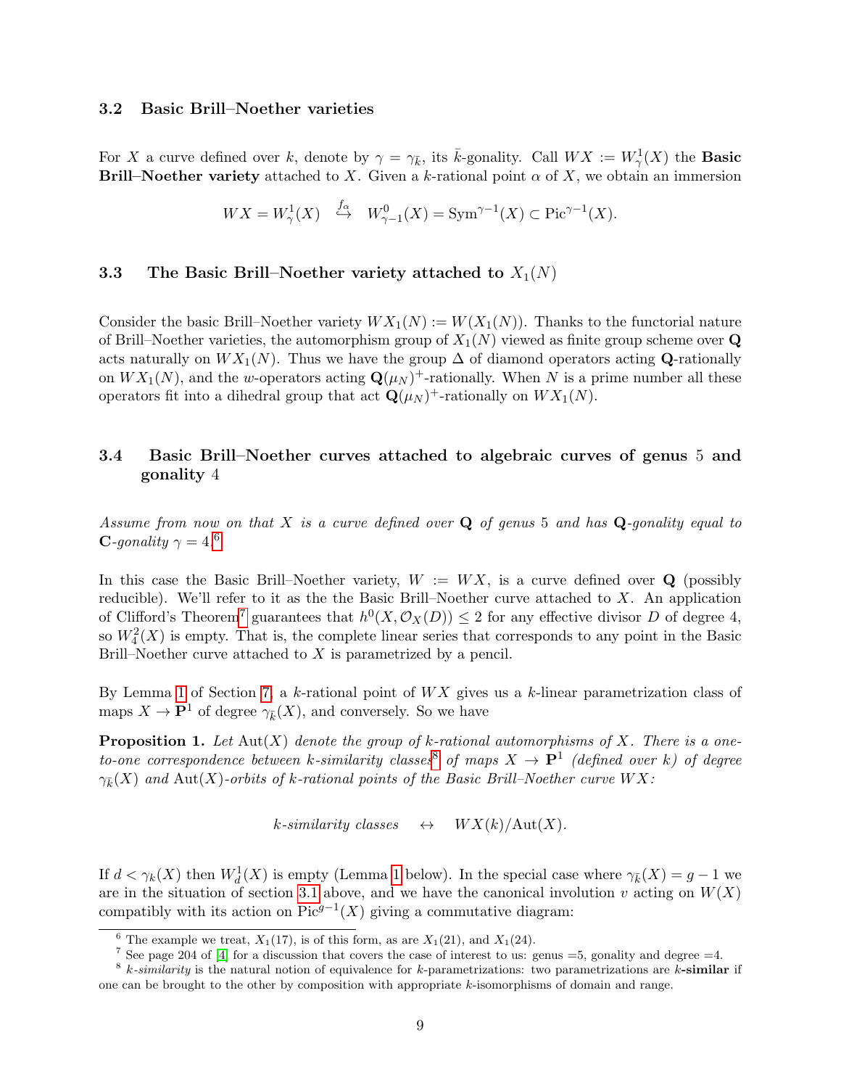#### <span id="page-8-0"></span>3.2 Basic Brill–Noether varieties

For X a curve defined over k, denote by  $\gamma = \gamma_{\bar{k}}$ , its  $\bar{k}$ -gonality. Call  $WX := W^1_{\gamma}(X)$  the **Basic** Brill–Noether variety attached to X. Given a k-rational point  $\alpha$  of X, we obtain an immersion

$$
WX = W^1_\gamma(X) \stackrel{f_\alpha}{\hookrightarrow} W^0_{\gamma-1}(X) = \mathrm{Sym}^{\gamma-1}(X) \subset \mathrm{Pic}^{\gamma-1}(X).
$$

### <span id="page-8-1"></span>3.3 The Basic Brill–Noether variety attached to  $X_1(N)$

Consider the basic Brill–Noether variety  $WX_1(N) := W(X_1(N))$ . Thanks to the functorial nature of Brill–Noether varieties, the automorphism group of  $X_1(N)$  viewed as finite group scheme over Q acts naturally on  $WX_1(N)$ . Thus we have the group  $\Delta$  of diamond operators acting Q-rationally on  $WX_1(N)$ , and the w-operators acting  $\mathbf{Q}(\mu_N)^+$ -rationally. When N is a prime number all these operators fit into a dihedral group that act  $\mathbf{Q}(\mu_N)^+$ -rationally on  $WX_1(N)$ .

### <span id="page-8-2"></span>3.4 Basic Brill–Noether curves attached to algebraic curves of genus 5 and gonality 4

Assume from now on that X is a curve defined over  $Q$  of genus 5 and has  $Q$ -gonality equal to **C**-gonality  $\gamma = 4.6$  $\gamma = 4.6$ 

In this case the Basic Brill–Noether variety,  $W := W X$ , is a curve defined over Q (possibly reducible). We'll refer to it as the the Basic Brill–Noether curve attached to  $X$ . An application of Clifford's Theorem<sup>[7](#page-8-4)</sup> guarantees that  $h^0(X, \mathcal{O}_X(D)) \leq 2$  for any effective divisor D of degree 4, so  $W_4^2(X)$  is empty. That is, the complete linear series that corresponds to any point in the Basic Brill–Noether curve attached to X is parametrized by a pencil.

By Lemma [1](#page-25-2) of Section [7,](#page-25-0) a k-rational point of  $WX$  gives us a k-linear parametrization class of maps  $X \to \mathbf{P}^1$  of degree  $\gamma_{\bar{k}}(X)$ , and conversely. So we have

<span id="page-8-6"></span>**Proposition 1.** Let  $Aut(X)$  denote the group of k-rational automorphisms of X. There is a one-to-one correspondence between k-similarity classes<sup>[8](#page-8-5)</sup> of maps  $X \to \mathbf{P}^1$  (defined over k) of degree  $\gamma_{\bar{k}}(X)$  and  $\mathrm{Aut}(X)$ -orbits of k-rational points of the Basic Brill–Noether curve  $WX$ :

 $k\text{-}similarity classes \leftrightarrow \text{WX}(k)/\text{Aut}(X).$ 

If  $d < \gamma_k(X)$  then  $W_d^1(X)$  is empty (Lemma [1](#page-25-2) below). In the special case where  $\gamma_{\bar{k}}(X) = g - 1$  we are in the situation of section [3.1](#page-7-0) above, and we have the canonical involution v acting on  $W(X)$ compatibly with its action on  $Pic^{g-1}(X)$  giving a commutative diagram:

<span id="page-8-3"></span><sup>&</sup>lt;sup>6</sup> The example we treat,  $X_1(17)$ , is of this form, as are  $X_1(21)$ , and  $X_1(24)$ .

<span id="page-8-5"></span><span id="page-8-4"></span><sup>&</sup>lt;sup>7</sup> See page 204 of [\[4\]](#page-26-7) for a discussion that covers the case of interest to us: genus =5, gonality and degree =4.

 $8$  k-similarity is the natural notion of equivalence for k-parametrizations: two parametrizations are k-similar if one can be brought to the other by composition with appropriate k-isomorphisms of domain and range.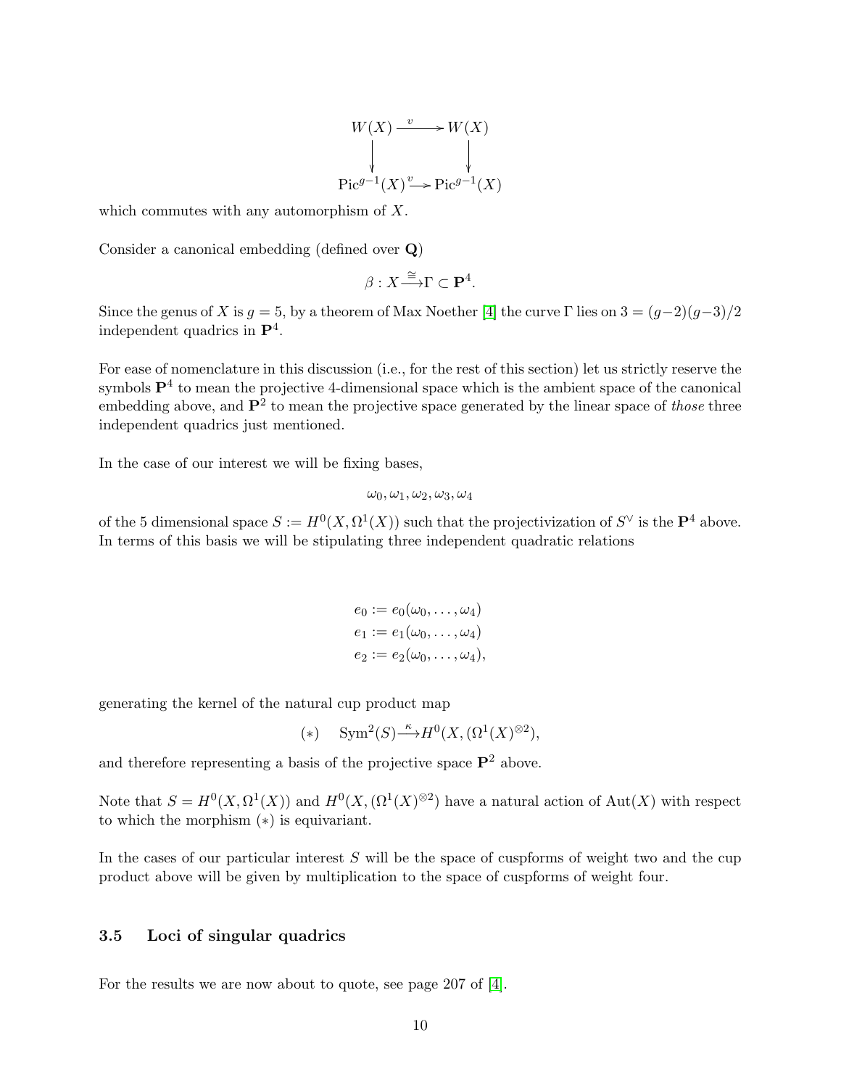$$
W(X) \xrightarrow{v} W(X)
$$
  
\n
$$
\downarrow \qquad \qquad \downarrow
$$
  
\n
$$
Pic^{g-1}(X) \xrightarrow{v} Pic^{g-1}(X)
$$

which commutes with any automorphism of X.

Consider a canonical embedding (defined over Q)

$$
\beta: X \stackrel{\cong}{\longrightarrow} \Gamma \subset \mathbf{P}^4.
$$

Since the genus of X is  $g = 5$ , by a theorem of Max Noether [\[4\]](#page-26-7) the curve  $\Gamma$  lies on  $3 = (g-2)(g-3)/2$ independent quadrics in  $\mathbf{P}^4$ .

For ease of nomenclature in this discussion (i.e., for the rest of this section) let us strictly reserve the symbols  $\mathbf{P}^4$  to mean the projective 4-dimensional space which is the ambient space of the canonical embedding above, and  $\mathbf{P}^2$  to mean the projective space generated by the linear space of those three independent quadrics just mentioned.

In the case of our interest we will be fixing bases,

$$
\omega_0, \omega_1, \omega_2, \omega_3, \omega_4
$$

of the 5 dimensional space  $S := H^0(X, \Omega^1(X))$  such that the projectivization of  $S^{\vee}$  is the  $\mathbf{P}^4$  above. In terms of this basis we will be stipulating three independent quadratic relations

> $e_0 := e_0(\omega_0, \ldots, \omega_4)$  $e_1 := e_1(\omega_0, \ldots, \omega_4)$  $e_2 := e_2(\omega_0, \ldots, \omega_4),$

generating the kernel of the natural cup product map

$$
(*) \quad \operatorname{Sym}^2(S) \stackrel{\kappa}{\longrightarrow} H^0(X, (\Omega^1(X)^{\otimes 2}),
$$

and therefore representing a basis of the projective space  $\mathbf{P}^2$  above.

Note that  $S = H^0(X, \Omega^1(X))$  and  $H^0(X, (\Omega^1(X)^{\otimes 2})$  have a natural action of Aut $(X)$  with respect to which the morphism (∗) is equivariant.

In the cases of our particular interest  $S$  will be the space of cuspforms of weight two and the cup product above will be given by multiplication to the space of cuspforms of weight four.

#### <span id="page-9-0"></span>3.5 Loci of singular quadrics

For the results we are now about to quote, see page 207 of [\[4\]](#page-26-7).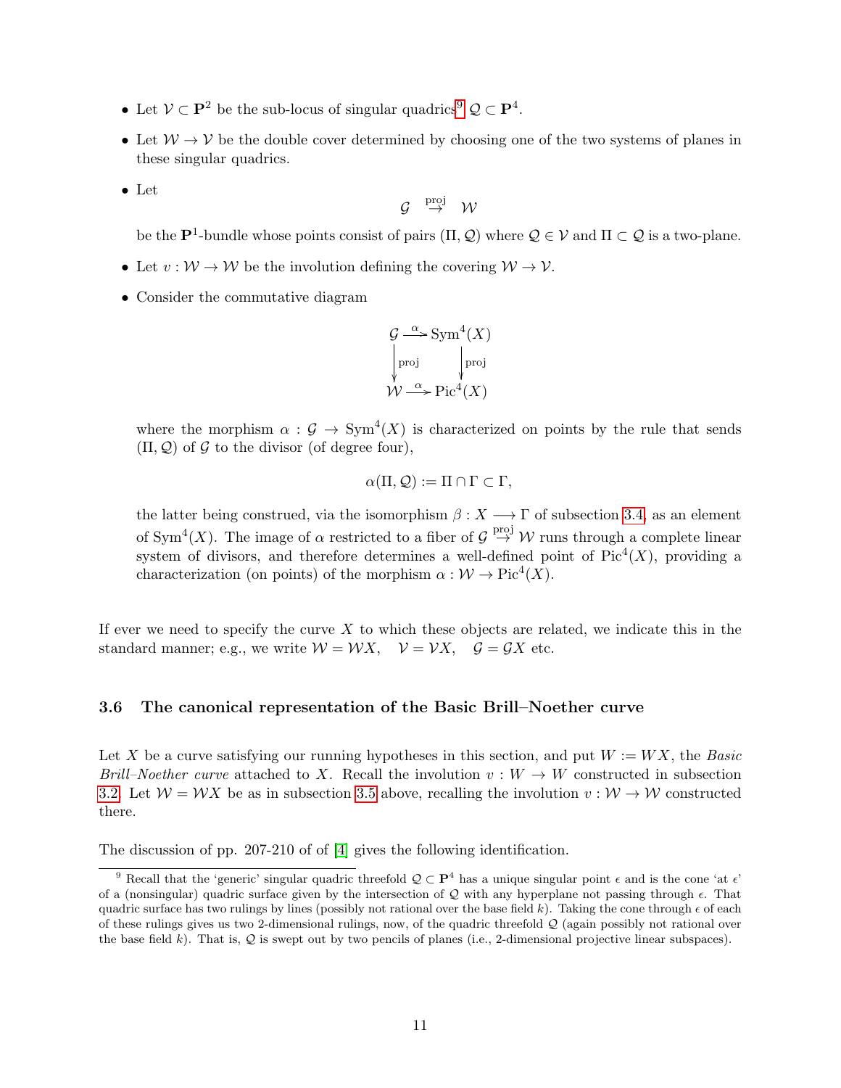- Let  $\mathcal{V} \subset \mathbf{P}^2$  be the sub-locus of singular quadrics<sup>[9](#page-10-1)</sup>  $\mathcal{Q} \subset \mathbf{P}^4$ .
- Let  $W \to V$  be the double cover determined by choosing one of the two systems of planes in these singular quadrics.
- Let

$$
\mathcal{G} \ \stackrel{\mathrm{proj}}{\rightarrow} \ \mathcal{W}
$$

be the **P**<sup>1</sup>-bundle whose points consist of pairs  $(\Pi, Q)$  where  $Q \in V$  and  $\Pi \subset Q$  is a two-plane.

- Let  $v : \mathcal{W} \to \mathcal{W}$  be the involution defining the covering  $\mathcal{W} \to \mathcal{V}$ .
- Consider the commutative diagram

$$
\mathcal{G} \xrightarrow{\alpha} \text{Sym}^4(X)
$$
  
proj  

$$
\downarrow \text{proj}
$$
  

$$
\mathcal{W} \xrightarrow{\alpha} \text{Pic}^4(X)
$$

where the morphism  $\alpha : \mathcal{G} \to \text{Sym}^4(X)$  is characterized on points by the rule that sends  $(\Pi, \mathcal{Q})$  of  $\mathcal G$  to the divisor (of degree four),

$$
\alpha(\Pi, \mathcal{Q}) := \Pi \cap \Gamma \subset \Gamma,
$$

the latter being construed, via the isomorphism  $\beta: X \longrightarrow \Gamma$  of subsection [3.4,](#page-8-2) as an element of Sym<sup>4</sup>(X). The image of  $\alpha$  restricted to a fiber of  $\mathcal{G} \stackrel{\text{proj}}{\rightarrow} \mathcal{W}$  runs through a complete linear system of divisors, and therefore determines a well-defined point of  $Pic<sup>4</sup>(X)$ , providing a characterization (on points) of the morphism  $\alpha : \mathcal{W} \to \text{Pic}^4(X)$ .

If ever we need to specify the curve  $X$  to which these objects are related, we indicate this in the standard manner; e.g., we write  $W = \mathcal{W}X$ ,  $V = \mathcal{V}X$ ,  $\mathcal{G} = \mathcal{G}X$  etc.

#### <span id="page-10-0"></span>3.6 The canonical representation of the Basic Brill–Noether curve

Let X be a curve satisfying our running hypotheses in this section, and put  $W := W X$ , the Basic Brill–Noether curve attached to X. Recall the involution  $v: W \to W$  constructed in subsection [3.2.](#page-8-0) Let  $W = \mathcal{W}X$  be as in subsection [3.5](#page-9-0) above, recalling the involution  $v : \mathcal{W} \to \mathcal{W}$  constructed there.

The discussion of pp. 207-210 of of [\[4\]](#page-26-7) gives the following identification.

<span id="page-10-1"></span><sup>&</sup>lt;sup>9</sup> Recall that the 'generic' singular quadric threefold  $\mathcal{Q} \subset \mathbf{P}^4$  has a unique singular point  $\epsilon$  and is the cone 'at  $\epsilon$ ' of a (nonsingular) quadric surface given by the intersection of  $Q$  with any hyperplane not passing through  $\epsilon$ . That quadric surface has two rulings by lines (possibly not rational over the base field k). Taking the cone through  $\epsilon$  of each of these rulings gives us two 2-dimensional rulings, now, of the quadric threefold  $Q$  (again possibly not rational over the base field k). That is,  $Q$  is swept out by two pencils of planes (i.e., 2-dimensional projective linear subspaces).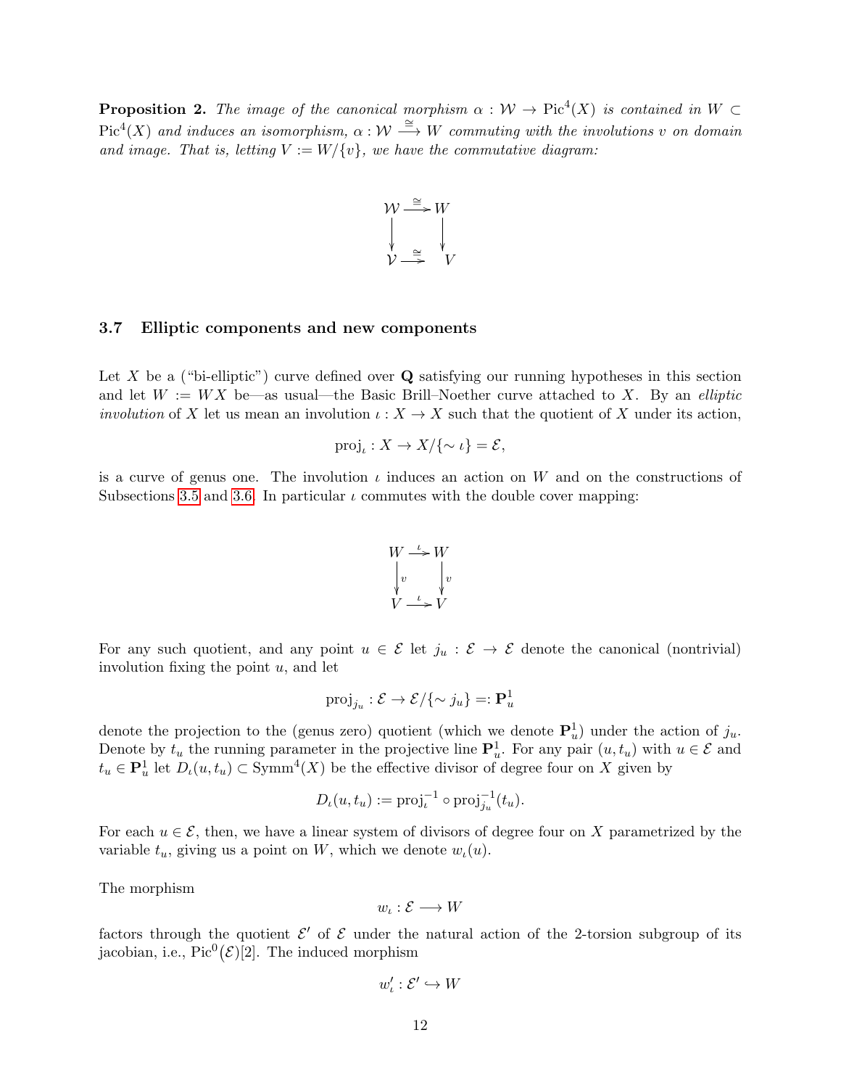**Proposition 2.** The image of the canonical morphism  $\alpha : \mathcal{W} \to Pic^4(X)$  is contained in W  $Pic<sup>4</sup>(X)$  and induces an isomorphism,  $\alpha : \mathcal{W} \stackrel{\cong}{\longrightarrow} W$  commuting with the involutions v on domain and image. That is, letting  $V := W/{v}$ , we have the commutative diagram:



#### <span id="page-11-0"></span>3.7 Elliptic components and new components

Let X be a ("bi-elliptic") curve defined over  $\bf{Q}$  satisfying our running hypotheses in this section and let  $W := W X$  be—as usual—the Basic Brill–Noether curve attached to X. By an *elliptic involution* of X let us mean an involution  $\iota: X \to X$  such that the quotient of X under its action.

$$
\text{proj}_{\iota}: X \to X/\{\sim \iota\} = \mathcal{E},
$$

is a curve of genus one. The involution  $\iota$  induces an action on W and on the constructions of Subsections [3.5](#page-9-0) and [3.6.](#page-10-0) In particular  $\iota$  commutes with the double cover mapping:



For any such quotient, and any point  $u \in \mathcal{E}$  let  $j_u : \mathcal{E} \to \mathcal{E}$  denote the canonical (nontrivial) involution fixing the point  $u$ , and let

$$
\mathrm{proj}_{j_u} : \mathcal{E} \to \mathcal{E} / \{\sim j_u\} =: \mathbf{P}^1_u
$$

denote the projection to the (genus zero) quotient (which we denote  $\mathbf{P}^1_u$ ) under the action of  $j_u$ . Denote by  $t_u$  the running parameter in the projective line  $\mathbf{P}_u^1$ . For any pair  $(u, t_u)$  with  $u \in \mathcal{E}$  and  $t_u \in \mathbf{P}_u^1$  let  $D_t(u, t_u) \subset \text{Symm}^4(X)$  be the effective divisor of degree four on X given by

$$
D_{\iota}(u,t_u) := \text{proj}_{\iota}^{-1} \circ \text{proj}_{j_u}^{-1}(t_u).
$$

For each  $u \in \mathcal{E}$ , then, we have a linear system of divisors of degree four on X parametrized by the variable  $t_u$ , giving us a point on W, which we denote  $w_t(u)$ .

The morphism

$$
w_\iota:\mathcal{E}\longrightarrow W
$$

factors through the quotient  $\mathcal{E}'$  of  $\mathcal E$  under the natural action of the 2-torsion subgroup of its jacobian, i.e.,  $Pic^0(\mathcal{E})[2]$ . The induced morphism

$$
w_\iota':\mathcal{E}'\hookrightarrow W
$$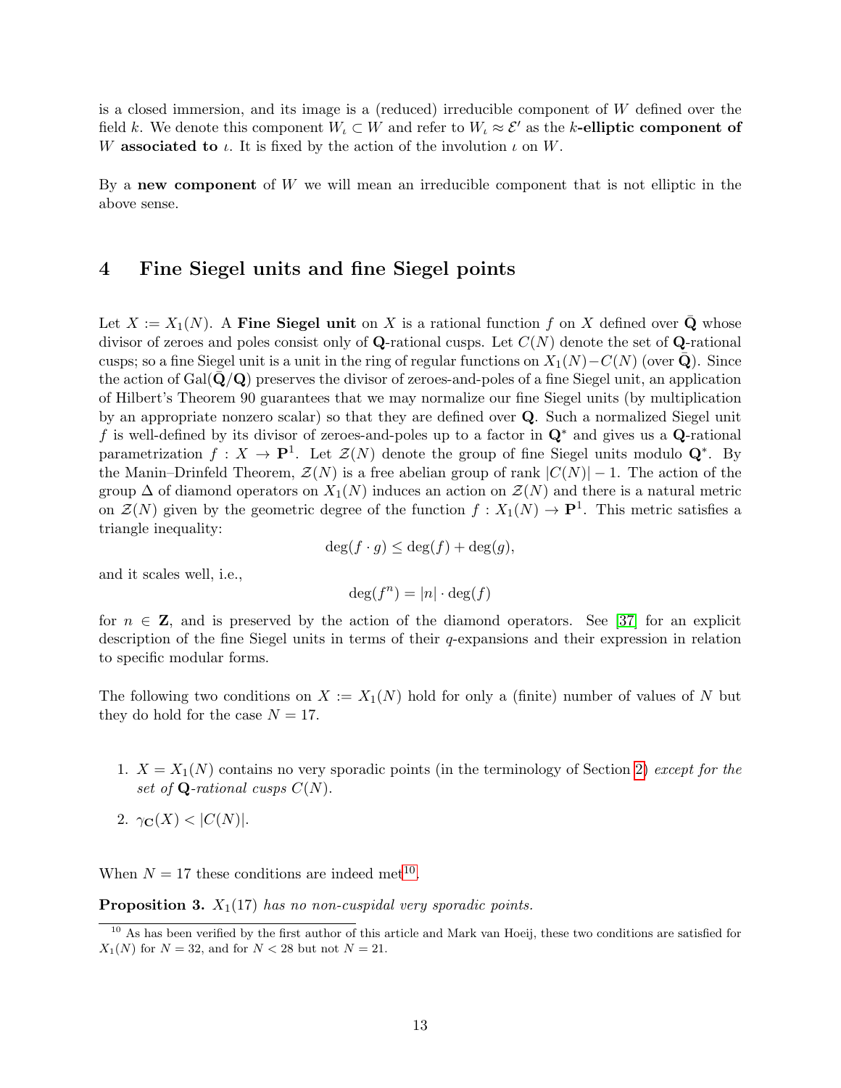is a closed immersion, and its image is a (reduced) irreducible component of W defined over the field k. We denote this component  $W_i \subset W$  and refer to  $W_i \approx \mathcal{E}'$  as the k-elliptic component of W associated to  $\iota$ . It is fixed by the action of the involution  $\iota$  on W.

By a new component of  $W$  we will mean an irreducible component that is not elliptic in the above sense.

### <span id="page-12-0"></span>4 Fine Siegel units and fine Siegel points

Let  $X := X_1(N)$ . A Fine Siegel unit on X is a rational function f on X defined over Q whose divisor of zeroes and poles consist only of **Q**-rational cusps. Let  $C(N)$  denote the set of **Q**-rational cusps; so a fine Siegel unit is a unit in the ring of regular functions on  $X_1(N)-C(N)$  (over Q). Since the action of  $Gal(Q/Q)$  preserves the divisor of zeroes-and-poles of a fine Siegel unit, an application of Hilbert's Theorem 90 guarantees that we may normalize our fine Siegel units (by multiplication by an appropriate nonzero scalar) so that they are defined over Q. Such a normalized Siegel unit f is well-defined by its divisor of zeroes-and-poles up to a factor in  $\mathbf{Q}^*$  and gives us a  $\mathbf{Q}$ -rational parametrization  $f: X \to \mathbf{P}^1$ . Let  $\mathcal{Z}(N)$  denote the group of fine Siegel units modulo  $\mathbf{Q}^*$ . By the Manin–Drinfeld Theorem,  $\mathcal{Z}(N)$  is a free abelian group of rank  $|C(N)|-1$ . The action of the group  $\Delta$  of diamond operators on  $X_1(N)$  induces an action on  $\mathcal{Z}(N)$  and there is a natural metric on  $\mathcal{Z}(N)$  given by the geometric degree of the function  $f: X_1(N) \to \mathbf{P}^1$ . This metric satisfies a triangle inequality:

$$
\deg(f \cdot g) \le \deg(f) + \deg(g),
$$

and it scales well, i.e.,

$$
\deg(f^n) = |n| \cdot \deg(f)
$$

for  $n \in \mathbb{Z}$ , and is preserved by the action of the diamond operators. See [\[37\]](#page-27-11) for an explicit description of the fine Siegel units in terms of their q-expansions and their expression in relation to specific modular forms.

The following two conditions on  $X := X_1(N)$  hold for only a (finite) number of values of N but they do hold for the case  $N = 17$ .

- 1.  $X = X_1(N)$  contains no very sporadic points (in the terminology of Section [2\)](#page-2-0) except for the set of  $\mathbf Q$ -rational cusps  $C(N)$ .
- 2.  $\gamma_{\mathbf{C}}(X) < |C(N)|$ .

When  $N = 17$  these conditions are indeed met<sup>[10](#page-12-1)</sup>.

<span id="page-12-2"></span>**Proposition 3.**  $X_1(17)$  has no non-cuspidal very sporadic points.

<span id="page-12-1"></span><sup>&</sup>lt;sup>10</sup> As has been verified by the first author of this article and Mark van Hoeij, these two conditions are satisfied for  $X_1(N)$  for  $N = 32$ , and for  $N < 28$  but not  $N = 21$ .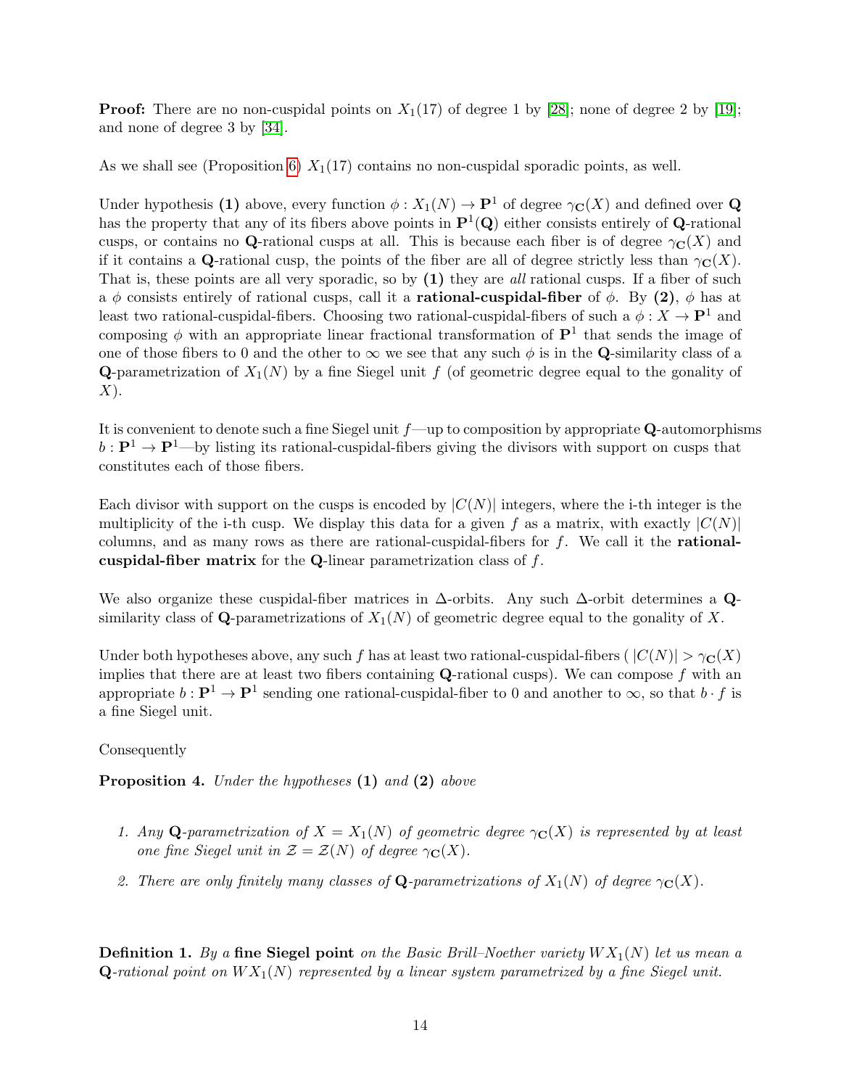**Proof:** There are no non-cuspidal points on  $X_1(17)$  of degree 1 by [\[28\]](#page-27-6); none of degree 2 by [\[19\]](#page-26-12); and none of degree 3 by [\[34\]](#page-27-8).

As we shall see (Proposition [6\)](#page-24-0)  $X_1(17)$  contains no non-cuspidal sporadic points, as well.

Under hypothesis (1) above, every function  $\phi: X_1(N) \to \mathbf{P}^1$  of degree  $\gamma_{\mathbf{C}}(X)$  and defined over Q has the property that any of its fibers above points in  $\mathbf{P}^1(\mathbf{Q})$  either consists entirely of **Q**-rational cusps, or contains no Q-rational cusps at all. This is because each fiber is of degree  $\gamma_{\mathbf{C}}(X)$  and if it contains a Q-rational cusp, the points of the fiber are all of degree strictly less than  $\gamma_{\mathbb{C}}(X)$ . That is, these points are all very sporadic, so by  $(1)$  they are *all* rational cusps. If a fiber of such a  $\phi$  consists entirely of rational cusps, call it a **rational-cuspidal-fiber** of  $\phi$ . By (2),  $\phi$  has at least two rational-cuspidal-fibers. Choosing two rational-cuspidal-fibers of such a  $\phi: X \to \mathbf{P}^1$  and composing  $\phi$  with an appropriate linear fractional transformation of  $\mathbf{P}^1$  that sends the image of one of those fibers to 0 and the other to  $\infty$  we see that any such  $\phi$  is in the Q-similarity class of a **Q-**parametrization of  $X_1(N)$  by a fine Siegel unit f (of geometric degree equal to the gonality of  $X$ ).

It is convenient to denote such a fine Siegel unit  $f$ —up to composition by appropriate Q-automorphisms  $b: \mathbf{P}^1 \to \mathbf{P}^1$ —by listing its rational-cuspidal-fibers giving the divisors with support on cusps that constitutes each of those fibers.

Each divisor with support on the cusps is encoded by  $|C(N)|$  integers, where the i-th integer is the multiplicity of the i-th cusp. We display this data for a given f as a matrix, with exactly  $|C(N)|$ columns, and as many rows as there are rational-cuspidal-fibers for  $f$ . We call it the **rational**cuspidal-fiber matrix for the Q-linear parametrization class of  $f$ .

We also organize these cuspidal-fiber matrices in  $\Delta$ -orbits. Any such  $\Delta$ -orbit determines a Qsimilarity class of Q-parametrizations of  $X_1(N)$  of geometric degree equal to the gonality of X.

Under both hypotheses above, any such f has at least two rational-cuspidal-fibers ( $|C(N)| > \gamma_C(X)$ ) implies that there are at least two fibers containing  $Q$ -rational cusps). We can compose f with an appropriate  $b: \mathbf{P}^1 \to \mathbf{P}^1$  sending one rational-cuspidal-fiber to 0 and another to  $\infty$ , so that  $b \cdot f$  is a fine Siegel unit.

Consequently

<span id="page-13-0"></span>Proposition 4. Under the hypotheses (1) and (2) above

- 1. Any Q-parametrization of  $X = X_1(N)$  of geometric degree  $\gamma_{\mathbb{C}}(X)$  is represented by at least one fine Siegel unit in  $\mathcal{Z} = \mathcal{Z}(N)$  of degree  $\gamma_{\mathbf{C}}(X)$ .
- 2. There are only finitely many classes of Q-parametrizations of  $X_1(N)$  of degree  $\gamma_{\mathbf{C}}(X)$ .

**Definition 1.** By a fine Siegel point on the Basic Brill–Noether variety  $WX_1(N)$  let us mean a **Q**-rational point on  $WX_1(N)$  represented by a linear system parametrized by a fine Siegel unit.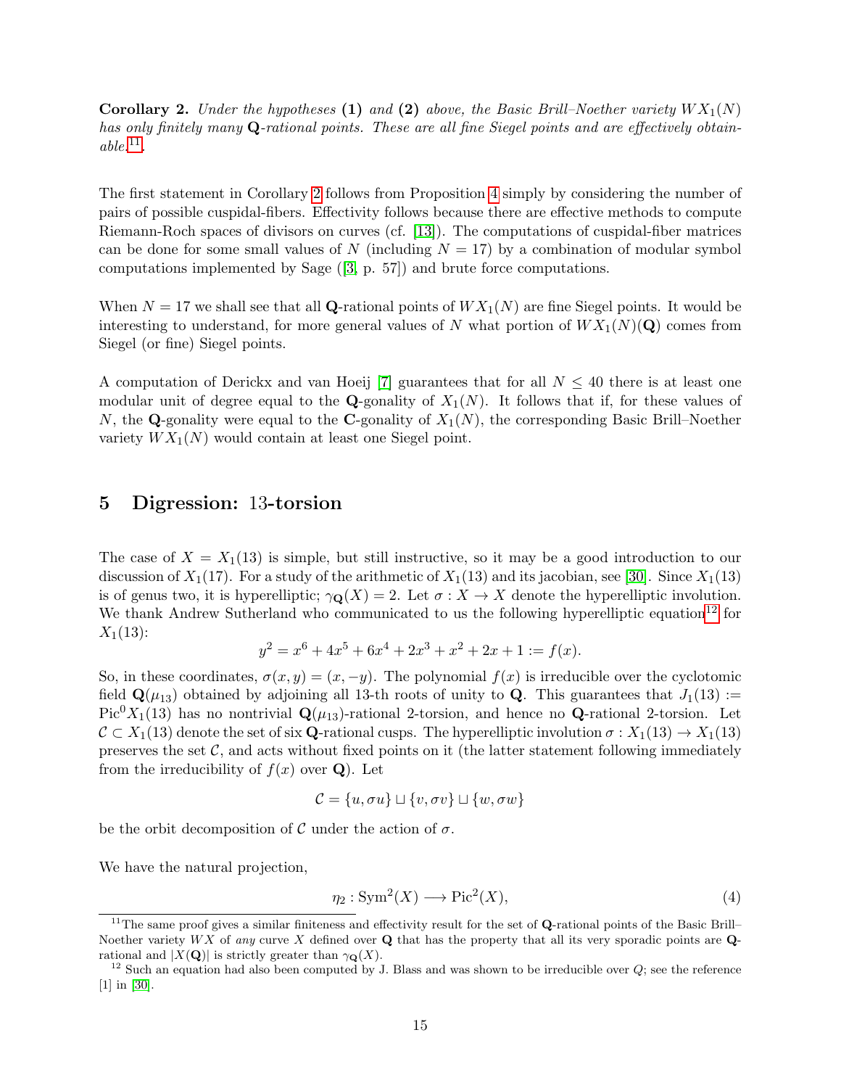<span id="page-14-2"></span>**Corollary 2.** Under the hypotheses (1) and (2) above, the Basic Brill–Noether variety  $WX_1(N)$ has only finitely many Q-rational points. These are all fine Siegel points and are effectively obtain- $able.<sup>11</sup>$  $able.<sup>11</sup>$  $able.<sup>11</sup>$ .

The first statement in Corollary [2](#page-14-2) follows from Proposition [4](#page-13-0) simply by considering the number of pairs of possible cuspidal-fibers. Effectivity follows because there are effective methods to compute Riemann-Roch spaces of divisors on curves (cf. [\[13\]](#page-26-13)). The computations of cuspidal-fiber matrices can be done for some small values of N (including  $N = 17$ ) by a combination of modular symbol computations implemented by Sage([\[3,](#page-26-14) p. 57]) and brute force computations.

When  $N = 17$  we shall see that all Q-rational points of  $WX_1(N)$  are fine Siegel points. It would be interesting to understand, for more general values of N what portion of  $WX_1(N)(Q)$  comes from Siegel (or fine) Siegel points.

A computation of Derickx and van Hoeij [\[7\]](#page-26-0) guarantees that for all  $N \leq 40$  there is at least one modular unit of degree equal to the **Q**-gonality of  $X_1(N)$ . It follows that if, for these values of N, the Q-gonality were equal to the C-gonality of  $X_1(N)$ , the corresponding Basic Brill–Noether variety  $WX_1(N)$  would contain at least one Siegel point.

# <span id="page-14-0"></span>5 Digression: 13-torsion

The case of  $X = X_1(13)$  is simple, but still instructive, so it may be a good introduction to our discussion of  $X_1(17)$ . For a study of the arithmetic of  $X_1(13)$  and its jacobian, see [\[30\]](#page-27-12). Since  $X_1(13)$ is of genus two, it is hyperelliptic;  $\gamma_{\mathbf{Q}}(X) = 2$ . Let  $\sigma : X \to X$  denote the hyperelliptic involution. We thank Andrew Sutherland who communicated to us the following hyperelliptic equation<sup>[12](#page-14-3)</sup> for  $X_1(13)$ :

$$
y^2 = x^6 + 4x^5 + 6x^4 + 2x^3 + x^2 + 2x + 1 := f(x).
$$

So, in these coordinates,  $\sigma(x, y) = (x, -y)$ . The polynomial  $f(x)$  is irreducible over the cyclotomic field  $\mathbf{Q}(\mu_{13})$  obtained by adjoining all 13-th roots of unity to Q. This guarantees that  $J_1(13)$  :=  $Pic^{0}X_{1}(13)$  has no nontrivial  $\mathbf{Q}(\mu_{13})$ -rational 2-torsion, and hence no **Q**-rational 2-torsion. Let  $\mathcal{C} \subset X_1(13)$  denote the set of six **Q**-rational cusps. The hyperelliptic involution  $\sigma : X_1(13) \to X_1(13)$ preserves the set  $C$ , and acts without fixed points on it (the latter statement following immediately from the irreducibility of  $f(x)$  over Q). Let

$$
\mathcal{C} = \{u, \sigma u\} \sqcup \{v, \sigma v\} \sqcup \{w, \sigma w\}
$$

be the orbit decomposition of C under the action of  $\sigma$ .

We have the natural projection,

$$
\eta_2: \operatorname{Sym}^2(X) \longrightarrow \operatorname{Pic}^2(X),\tag{4}
$$

<span id="page-14-1"></span> $11$ The same proof gives a similar finiteness and effectivity result for the set of Q-rational points of the Basic Brill– Noether variety  $WX$  of any curve X defined over  $Q$  that has the property that all its very sporadic points are  $Q$ rational and  $|X(Q)|$  is strictly greater than  $\gamma_Q(X)$ .

<span id="page-14-3"></span><sup>&</sup>lt;sup>12</sup> Such an equation had also been computed by J. Blass and was shown to be irreducible over  $Q$ ; see the reference [1] in [\[30\]](#page-27-12).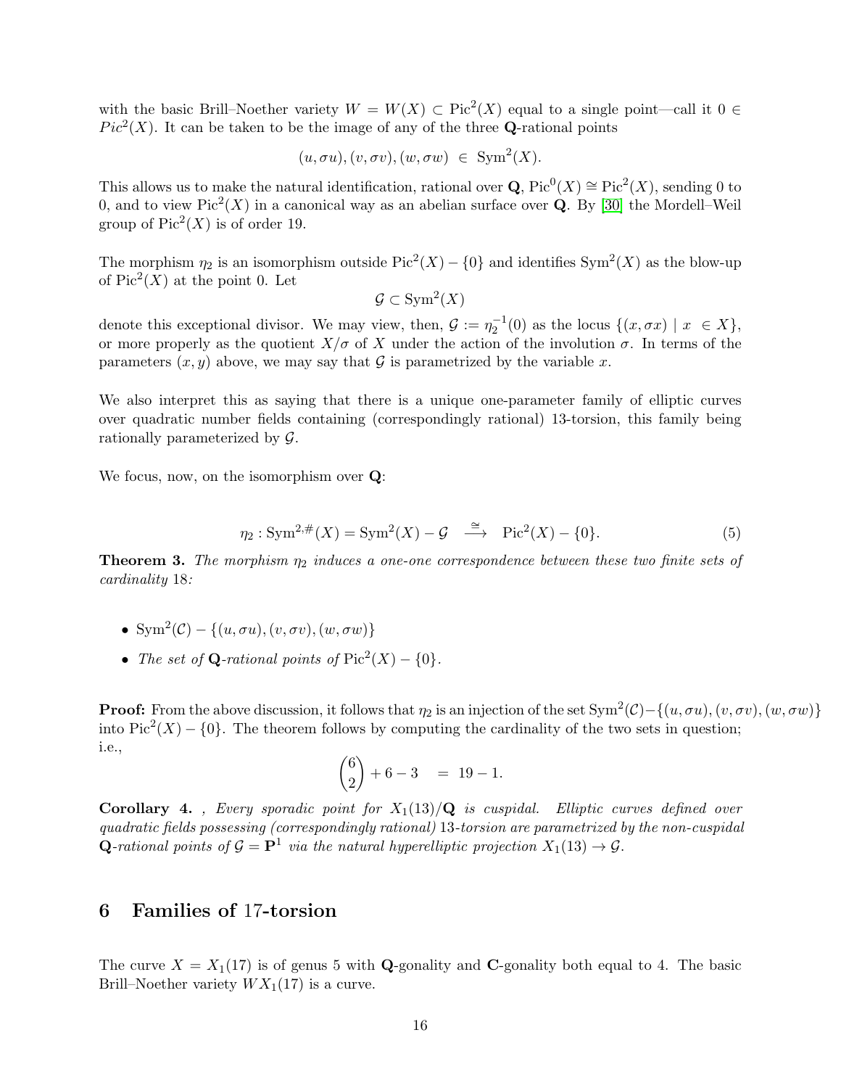with the basic Brill–Noether variety  $W = W(X) \subset Pic^2(X)$  equal to a single point—call it  $0 \in$  $Pic<sup>2</sup>(X)$ . It can be taken to be the image of any of the three Q-rational points

$$
(u, \sigma u), (v, \sigma v), (w, \sigma w) \in \text{Sym}^2(X).
$$

This allows us to make the natural identification, rational over  $\mathbf{Q}$ ,  $Pic^0(X) \cong Pic^2(X)$ , sending 0 to 0, and to view  $Pic<sup>2</sup>(X)$  in a canonical way as an abelian surface over Q. By [\[30\]](#page-27-12) the Mordell–Weil group of  $Pic<sup>2</sup>(X)$  is of order 19.

The morphism  $\eta_2$  is an isomorphism outside Pic<sup>2</sup>(X) – {0} and identifies Sym<sup>2</sup>(X) as the blow-up of  $Pic<sup>2</sup>(X)$  at the point 0. Let

$$
\mathcal{G} \subset \text{Sym}^2(X)
$$

denote this exceptional divisor. We may view, then,  $G := \eta_2^{-1}(0)$  as the locus  $\{(x, \sigma x) | x \in X\}$ , or more properly as the quotient  $X/\sigma$  of X under the action of the involution  $\sigma$ . In terms of the parameters  $(x, y)$  above, we may say that G is parametrized by the variable x.

We also interpret this as saying that there is a unique one-parameter family of elliptic curves over quadratic number fields containing (correspondingly rational) 13-torsion, this family being rationally parameterized by G.

We focus, now, on the isomorphism over Q:

$$
\eta_2: \operatorname{Sym}^{2,\#}(X) = \operatorname{Sym}^2(X) - \mathcal{G} \stackrel{\cong}{\longrightarrow} \operatorname{Pic}^2(X) - \{0\}. \tag{5}
$$

**Theorem 3.** The morphism  $\eta_2$  induces a one-one correspondence between these two finite sets of cardinality 18:

- Sym<sup>2</sup>(C) { $(u, \sigma u), (v, \sigma v), (w, \sigma w)$ }
- The set of Q-rational points of  $Pic^2(X) \{0\}.$

**Proof:** From the above discussion, it follows that  $\eta_2$  is an injection of the set  $Sym^2(\mathcal{C}) - \{(u, \sigma u), (v, \sigma v), (w, \sigma w)\}\$ into  $Pic<sup>2</sup>(X) - \{0\}$ . The theorem follows by computing the cardinality of the two sets in question; i.e.,

$$
\binom{6}{2} + 6 - 3 = 19 - 1.
$$

**Corollary 4.**, Every sporadic point for  $X_1(13)/Q$  is cuspidal. Elliptic curves defined over quadratic fields possessing (correspondingly rational) 13-torsion are parametrized by the non-cuspidal **Q**-rational points of  $\mathcal{G} = \mathbf{P}^1$  via the natural hyperelliptic projection  $X_1(13) \to \mathcal{G}$ .

## <span id="page-15-0"></span>6 Families of 17-torsion

The curve  $X = X_1(17)$  is of genus 5 with Q-gonality and C-gonality both equal to 4. The basic Brill–Noether variety  $WX_1(17)$  is a curve.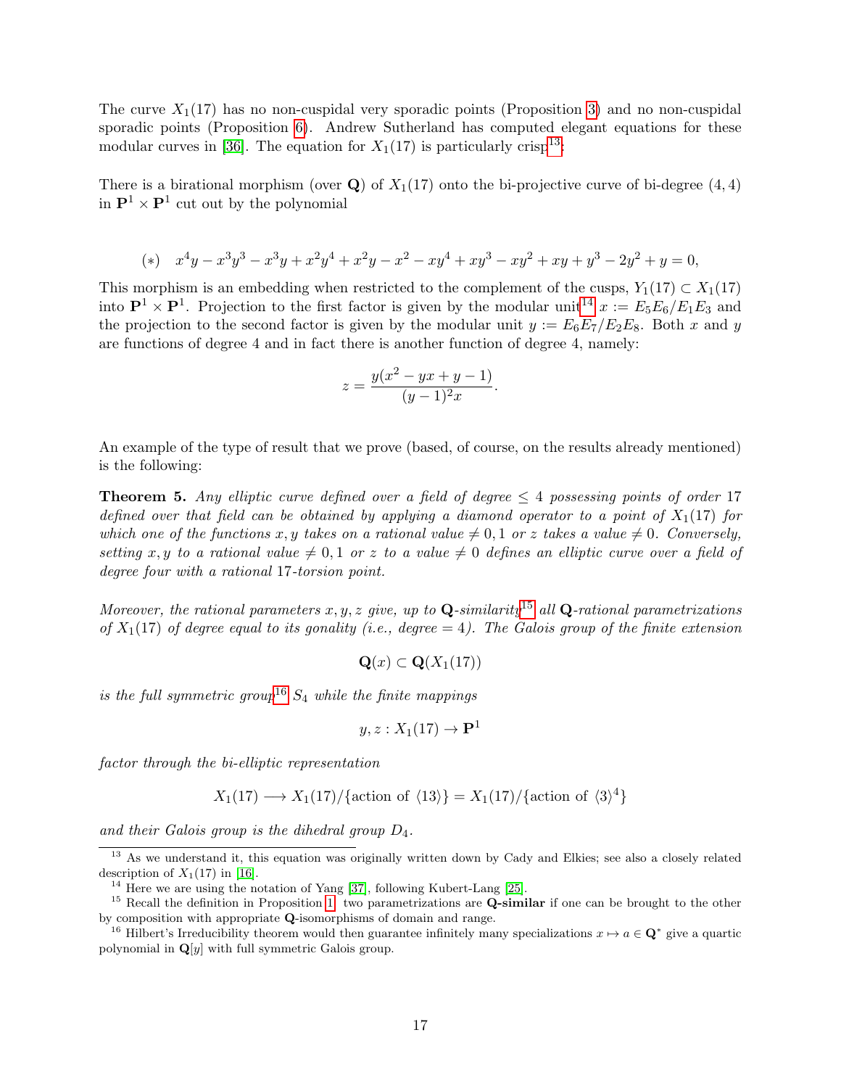The curve  $X_1(17)$  has no non-cuspidal very sporadic points (Proposition [3\)](#page-12-2) and no non-cuspidal sporadic points (Proposition [6\)](#page-24-0). Andrew Sutherland has computed elegant equations for these modular curves in [\[36\]](#page-27-5). The equation for  $X_1(17)$  is particularly crisp<sup>[13](#page-16-0)</sup>:

There is a birational morphism (over  $\bf{Q}$ ) of  $X_1(17)$  onto the bi-projective curve of bi-degree  $(4, 4)$ in  $\mathbf{P}^1 \times \mathbf{P}^1$  cut out by the polynomial

$$
(*)\quad x^4y-x^3y^3-x^3y+x^2y^4+x^2y-x^2-xy^4+xy^3-xy^2+xy+y^3-2y^2+y=0,
$$

This morphism is an embedding when restricted to the complement of the cusps,  $Y_1(17) \subset X_1(17)$ into  $\mathbf{P}^1 \times \mathbf{P}^1$ . Projection to the first factor is given by the modular unit<sup>[14](#page-16-1)</sup>  $x := E_5E_6/E_1E_3$  and the projection to the second factor is given by the modular unit  $y := E_6E_7/E_2E_8$ . Both x and y are functions of degree 4 and in fact there is another function of degree 4, namely:

$$
z = \frac{y(x^2 - yx + y - 1)}{(y - 1)^2 x}.
$$

An example of the type of result that we prove (based, of course, on the results already mentioned) is the following:

<span id="page-16-4"></span>**Theorem 5.** Any elliptic curve defined over a field of degree  $\leq 4$  possessing points of order 17 defined over that field can be obtained by applying a diamond operator to a point of  $X_1(17)$  for which one of the functions x, y takes on a rational value  $\neq 0, 1$  or z takes a value  $\neq 0$ . Conversely, setting x, y to a rational value  $\neq 0, 1$  or z to a value  $\neq 0$  defines an elliptic curve over a field of degree four with a rational 17-torsion point.

Moreover, the rational parameters x, y, z give, up to Q-similarity<sup>[15](#page-16-2)</sup> all Q-rational parametrizations of  $X_1(17)$  of degree equal to its gonality (i.e., degree  $= 4$ ). The Galois group of the finite extension

$$
\mathbf{Q}(x) \subset \mathbf{Q}(X_1(17))
$$

is the full symmetric group<sup>[16](#page-16-3)</sup>  $S_4$  while the finite mappings

$$
y, z: X_1(17) \to \mathbf{P}^1
$$

factor through the bi-elliptic representation

$$
X_1(17) \longrightarrow X_1(17)/\{\text{action of }\langle 13 \rangle\} = X_1(17)/\{\text{action of }\langle 3 \rangle^4\}
$$

and their Galois group is the dihedral group  $D_4$ .

<span id="page-16-0"></span><sup>&</sup>lt;sup>13</sup> As we understand it, this equation was originally written down by Cady and Elkies; see also a closely related description of  $X_1(17)$  in [\[16\]](#page-26-3).

<span id="page-16-2"></span><span id="page-16-1"></span><sup>&</sup>lt;sup>14</sup> Here we are using the notation of Yang [\[37\]](#page-27-11), following Kubert-Lang [\[25\]](#page-27-13).

<sup>&</sup>lt;sup>15</sup> Recall the definition in Proposition [1:](#page-8-6) two parametrizations are **Q-similar** if one can be brought to the other by composition with appropriate Q-isomorphisms of domain and range.

<span id="page-16-3"></span><sup>&</sup>lt;sup>16</sup> Hilbert's Irreducibility theorem would then guarantee infinitely many specializations  $x \mapsto a \in \mathbf{Q}^*$  give a quartic polynomial in  $\mathbf{Q}[y]$  with full symmetric Galois group.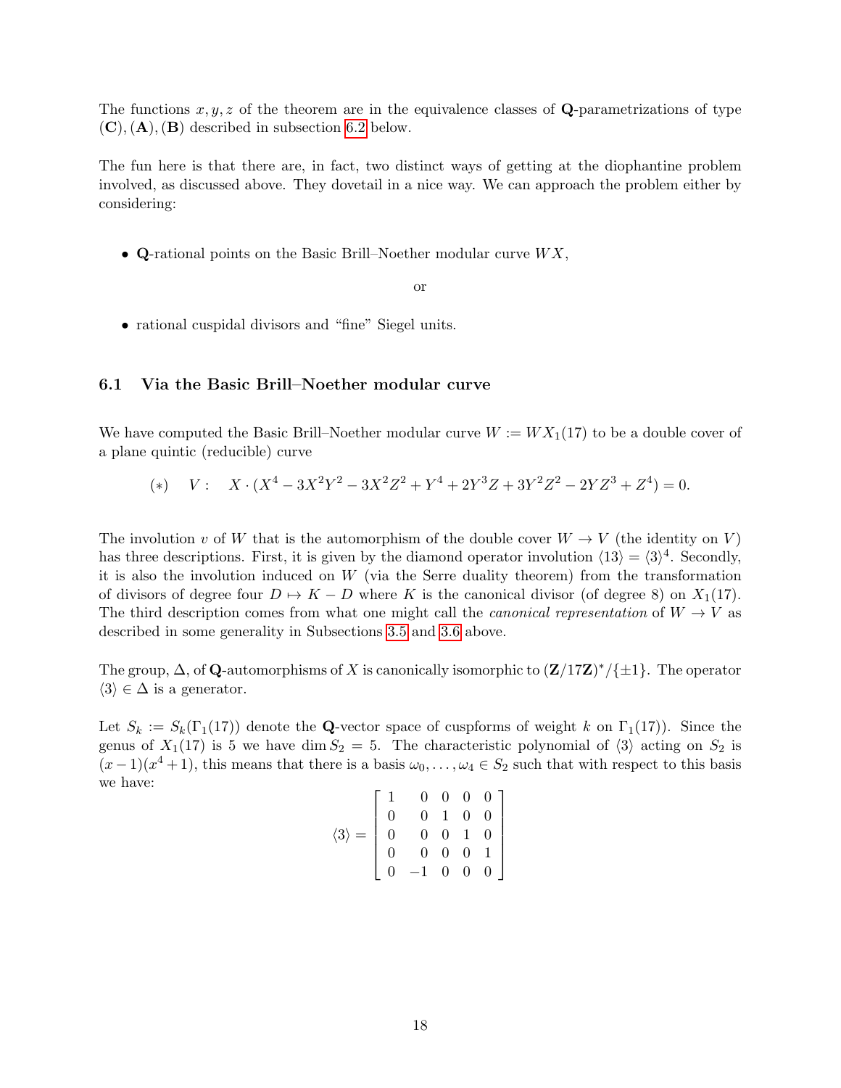The functions  $x, y, z$  of the theorem are in the equivalence classes of Q-parametrizations of type  $(C), (A), (B)$  described in subsection [6.2](#page-20-0) below.

The fun here is that there are, in fact, two distinct ways of getting at the diophantine problem involved, as discussed above. They dovetail in a nice way. We can approach the problem either by considering:

• Q-rational points on the Basic Brill–Noether modular curve  $WX$ ,

or

• rational cuspidal divisors and "fine" Siegel units.

#### <span id="page-17-0"></span>6.1 Via the Basic Brill–Noether modular curve

We have computed the Basic Brill–Noether modular curve  $W := W X_1(17)$  to be a double cover of a plane quintic (reducible) curve

(\*) 
$$
V: X \cdot (X^4 - 3X^2Y^2 - 3X^2Z^2 + Y^4 + 2Y^3Z + 3Y^2Z^2 - 2YZ^3 + Z^4) = 0.
$$

The involution v of W that is the automorphism of the double cover  $W \to V$  (the identity on V) has three descriptions. First, it is given by the diamond operator involution  $\langle 13 \rangle = \langle 3 \rangle^4$ . Secondly, it is also the involution induced on  $W$  (via the Serre duality theorem) from the transformation of divisors of degree four  $D \mapsto K - D$  where K is the canonical divisor (of degree 8) on  $X_1(17)$ . The third description comes from what one might call the *canonical representation* of  $W \to V$  as described in some generality in Subsections [3.5](#page-9-0) and [3.6](#page-10-0) above.

The group,  $\Delta$ , of Q-automorphisms of X is canonically isomorphic to  $(\mathbf{Z}/17\mathbf{Z})^*/\{\pm 1\}$ . The operator  $\langle 3 \rangle \in \Delta$  is a generator.

Let  $S_k := S_k(\Gamma_1(17))$  denote the Q-vector space of cuspforms of weight k on  $\Gamma_1(17)$ ). Since the genus of  $X_1(17)$  is 5 we have dim  $S_2 = 5$ . The characteristic polynomial of  $\langle 3 \rangle$  acting on  $S_2$  is  $(x-1)(x^4+1)$ , this means that there is a basis  $\omega_0, \ldots, \omega_4 \in S_2$  such that with respect to this basis we have:

$$
\langle 3 \rangle = \left[ \begin{array}{rrrrr} 1 & 0 & 0 & 0 & 0 \\ 0 & 0 & 1 & 0 & 0 \\ 0 & 0 & 0 & 1 & 0 \\ 0 & 0 & 0 & 0 & 1 \\ 0 & -1 & 0 & 0 & 0 \end{array} \right]
$$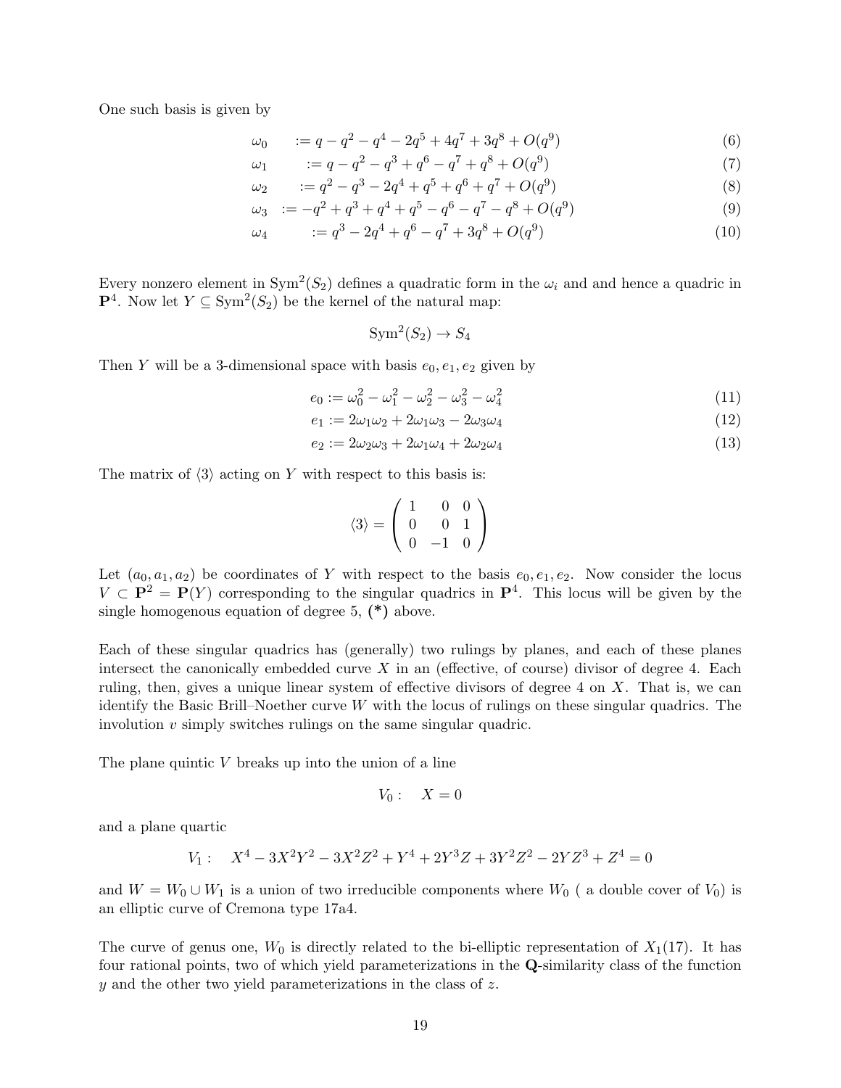One such basis is given by

$$
\omega_0 \qquad := q - q^2 - q^4 - 2q^5 + 4q^7 + 3q^8 + O(q^9) \tag{6}
$$

$$
\omega_1 \qquad := q - q^2 - q^3 + q^6 - q^7 + q^8 + O(q^9) \tag{7}
$$

$$
\omega_2 \qquad := q^2 - q^3 - 2q^4 + q^5 + q^6 + q^7 + O(q^9) \tag{8}
$$

$$
\omega_3 \quad := -q^2 + q^3 + q^4 + q^5 - q^6 - q^7 - q^8 + O(q^9) \tag{9}
$$

$$
\omega_4 \qquad := q^3 - 2q^4 + q^6 - q^7 + 3q^8 + O(q^9) \tag{10}
$$

Every nonzero element in  $Sym^2(S_2)$  defines a quadratic form in the  $\omega_i$  and and hence a quadric in  $\mathbf{P}^4$ . Now let  $Y \subseteq \text{Sym}^2(S_2)$  be the kernel of the natural map:

$$
Sym^2(S_2) \to S_4
$$

Then Y will be a 3-dimensional space with basis  $e_0, e_1, e_2$  given by

$$
e_0 := \omega_0^2 - \omega_1^2 - \omega_2^2 - \omega_3^2 - \omega_4^2 \tag{11}
$$

$$
e_1 := 2\omega_1\omega_2 + 2\omega_1\omega_3 - 2\omega_3\omega_4\tag{12}
$$

$$
e_2 := 2\omega_2\omega_3 + 2\omega_1\omega_4 + 2\omega_2\omega_4 \tag{13}
$$

The matrix of  $\langle 3 \rangle$  acting on Y with respect to this basis is:

$$
\langle 3 \rangle = \begin{pmatrix} 1 & 0 & 0 \\ 0 & 0 & 1 \\ 0 & -1 & 0 \end{pmatrix}
$$

Let  $(a_0, a_1, a_2)$  be coordinates of Y with respect to the basis  $e_0, e_1, e_2$ . Now consider the locus  $V \subset \mathbf{P}^2 = \mathbf{P}(Y)$  corresponding to the singular quadrics in  $\mathbf{P}^4$ . This locus will be given by the single homogenous equation of degree  $5, (*)$  above.

Each of these singular quadrics has (generally) two rulings by planes, and each of these planes intersect the canonically embedded curve  $X$  in an (effective, of course) divisor of degree 4. Each ruling, then, gives a unique linear system of effective divisors of degree  $4$  on  $X$ . That is, we can identify the Basic Brill–Noether curve  $W$  with the locus of rulings on these singular quadrics. The involution v simply switches rulings on the same singular quadric.

The plane quintic  $V$  breaks up into the union of a line

$$
V_0: \quad X=0
$$

and a plane quartic

$$
V_1: \quad X^4 - 3X^2Y^2 - 3X^2Z^2 + Y^4 + 2Y^3Z + 3Y^2Z^2 - 2YZ^3 + Z^4 = 0
$$

and  $W = W_0 \cup W_1$  is a union of two irreducible components where  $W_0$  (a double cover of  $V_0$ ) is an elliptic curve of Cremona type 17a4.

The curve of genus one,  $W_0$  is directly related to the bi-elliptic representation of  $X_1(17)$ . It has four rational points, two of which yield parameterizations in the Q-similarity class of the function  $y$  and the other two yield parameterizations in the class of  $z$ .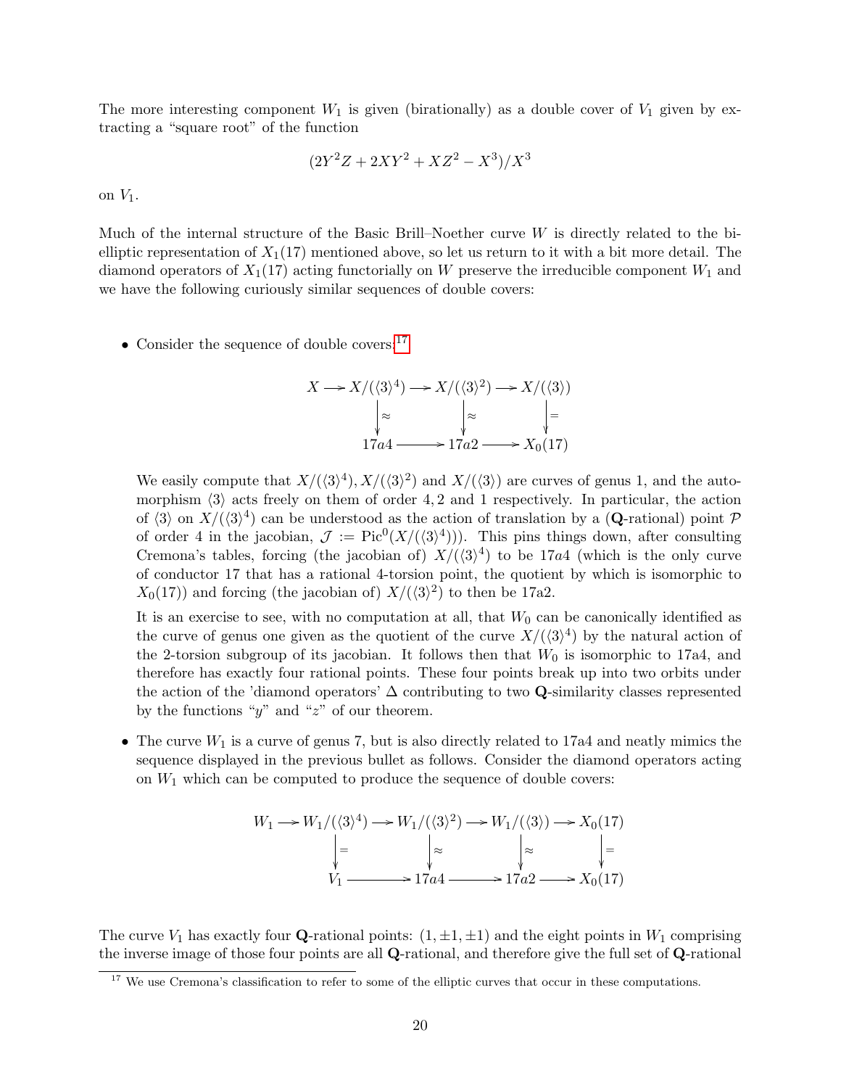The more interesting component  $W_1$  is given (birationally) as a double cover of  $V_1$  given by extracting a "square root" of the function

$$
(2Y^2Z + 2XY^2 + XZ^2 - X^3)/X^3
$$

on  $V_1$ .

Much of the internal structure of the Basic Brill–Noether curve  $W$  is directly related to the bielliptic representation of  $X_1(17)$  mentioned above, so let us return to it with a bit more detail. The diamond operators of  $X_1(17)$  acting functorially on W preserve the irreducible component  $W_1$  and we have the following curiously similar sequences of double covers:

 $\bullet$  Consider the sequence of double covers:<sup>[17](#page-19-0)</sup>

$$
X \longrightarrow X/(\langle 3 \rangle^4) \longrightarrow X/(\langle 3 \rangle^2) \longrightarrow X/(\langle 3 \rangle)
$$

$$
\downarrow \approx \qquad \qquad \downarrow \approx \qquad \qquad \downarrow =
$$

$$
17a4 \longrightarrow 17a2 \longrightarrow X_0(17)
$$

We easily compute that  $X/(\langle 3 \rangle^4)$ ,  $X/(\langle 3 \rangle^2)$  and  $X/(\langle 3 \rangle)$  are curves of genus 1, and the automorphism  $\langle 3 \rangle$  acts freely on them of order 4, 2 and 1 respectively. In particular, the action of  $\langle 3 \rangle$  on  $X/(\langle 3 \rangle^4)$  can be understood as the action of translation by a (Q-rational) point P of order 4 in the jacobian,  $\mathcal{J} := Pic^0(X/(\langle 3\rangle^4)))$ . This pins things down, after consulting Cremona's tables, forcing (the jacobian of)  $X/(\langle 3 \rangle^4)$  to be 17a4 (which is the only curve of conductor 17 that has a rational 4-torsion point, the quotient by which is isomorphic to  $X_0(17)$  and forcing (the jacobian of)  $X/(\langle 3\rangle^2)$  to then be 17a2.

It is an exercise to see, with no computation at all, that  $W_0$  can be canonically identified as the curve of genus one given as the quotient of the curve  $X/(\langle 3 \rangle^4)$  by the natural action of the 2-torsion subgroup of its jacobian. It follows then that  $W_0$  is isomorphic to 17a4, and therefore has exactly four rational points. These four points break up into two orbits under the action of the 'diamond operators'  $\Delta$  contributing to two Q-similarity classes represented by the functions "y" and "z" of our theorem.

• The curve  $W_1$  is a curve of genus 7, but is also directly related to 17a4 and neatly mimics the sequence displayed in the previous bullet as follows. Consider the diamond operators acting on  $W_1$  which can be computed to produce the sequence of double covers:

W<sup>1</sup> /W1/(h3i 4 ) / = W1/(h3i 2 ) / ≈ W1/(h3i) / ≈ X0(17) = V1 /17a4 /17a2 /X0(17)

The curve  $V_1$  has exactly four **Q**-rational points:  $(1, \pm 1, \pm 1)$  and the eight points in  $W_1$  comprising the inverse image of those four points are all Q-rational, and therefore give the full set of Q-rational

<span id="page-19-0"></span><sup>&</sup>lt;sup>17</sup> We use Cremona's classification to refer to some of the elliptic curves that occur in these computations.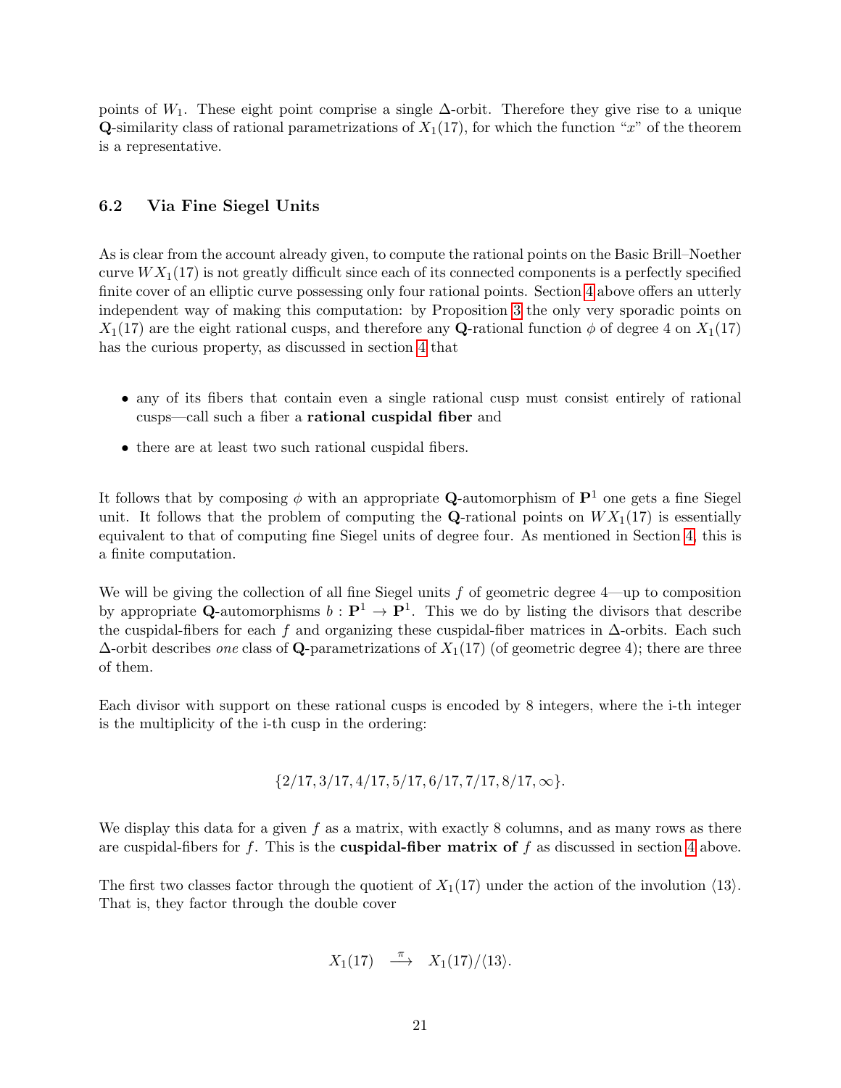points of W<sub>1</sub>. These eight point comprise a single  $\Delta$ -orbit. Therefore they give rise to a unique **Q**-similarity class of rational parametrizations of  $X_1(17)$ , for which the function "x" of the theorem is a representative.

### <span id="page-20-0"></span>6.2 Via Fine Siegel Units

As is clear from the account already given, to compute the rational points on the Basic Brill–Noether curve  $WX_1(17)$  is not greatly difficult since each of its connected components is a perfectly specified finite cover of an elliptic curve possessing only four rational points. Section [4](#page-12-0) above offers an utterly independent way of making this computation: by Proposition [3](#page-12-2) the only very sporadic points on  $X_1(17)$  are the eight rational cusps, and therefore any Q-rational function  $\phi$  of degree 4 on  $X_1(17)$ has the curious property, as discussed in section [4](#page-12-0) that

- any of its fibers that contain even a single rational cusp must consist entirely of rational cusps—call such a fiber a rational cuspidal fiber and
- there are at least two such rational cuspidal fibers.

It follows that by composing  $\phi$  with an appropriate Q-automorphism of  $\mathbf{P}^1$  one gets a fine Siegel unit. It follows that the problem of computing the **Q**-rational points on  $WX_1(17)$  is essentially equivalent to that of computing fine Siegel units of degree four. As mentioned in Section [4,](#page-12-0) this is a finite computation.

We will be giving the collection of all fine Siegel units  $f$  of geometric degree  $4$ —up to composition by appropriate Q-automorphisms  $b: \mathbf{P}^1 \to \mathbf{P}^1$ . This we do by listing the divisors that describe the cuspidal-fibers for each f and organizing these cuspidal-fiber matrices in  $\Delta$ -orbits. Each such  $\Delta$ -orbit describes *one* class of **Q**-parametrizations of  $X_1(17)$  (of geometric degree 4); there are three of them.

Each divisor with support on these rational cusps is encoded by 8 integers, where the i-th integer is the multiplicity of the i-th cusp in the ordering:

$$
\{2/17,3/17,4/17,5/17,6/17,7/17,8/17,\infty\}.
$$

We display this data for a given  $f$  as a matrix, with exactly 8 columns, and as many rows as there are cuspidal-fibers for f. This is the **cuspidal-fiber matrix of** f as discussed in section [4](#page-12-0) above.

The first two classes factor through the quotient of  $X_1(17)$  under the action of the involution  $\langle 13 \rangle$ . That is, they factor through the double cover

$$
X_1(17) \quad \stackrel{\pi}{\longrightarrow} \quad X_1(17)/\langle 13 \rangle.
$$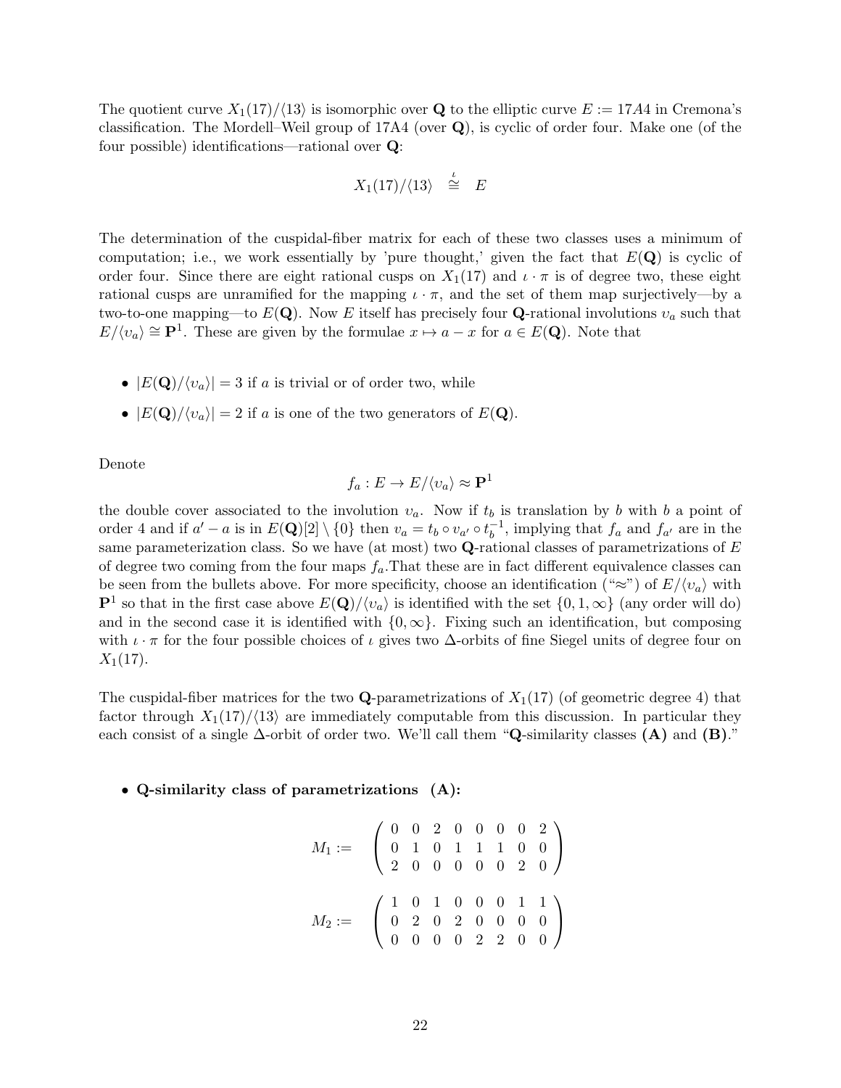The quotient curve  $X_1(17)/\langle 13 \rangle$  is isomorphic over Q to the elliptic curve  $E := 17A4$  in Cremona's classification. The Mordell–Weil group of 17A4 (over Q), is cyclic of order four. Make one (of the four possible) identifications—rational over Q:

$$
X_1(17)/\langle 13 \rangle \stackrel{\iota}{\cong} E
$$

The determination of the cuspidal-fiber matrix for each of these two classes uses a minimum of computation; i.e., we work essentially by 'pure thought,' given the fact that  $E(\mathbf{Q})$  is cyclic of order four. Since there are eight rational cusps on  $X_1(17)$  and  $\iota \cdot \pi$  is of degree two, these eight rational cusps are unramified for the mapping  $\iota \cdot \pi$ , and the set of them map surjectively—by a two-to-one mapping—to  $E(\mathbf{Q})$ . Now E itself has precisely four **Q**-rational involutions  $v_a$  such that  $E/\langle v_a \rangle \cong \mathbf{P}^1$ . These are given by the formulae  $x \mapsto a - x$  for  $a \in E(\mathbf{Q})$ . Note that

- $|E(\mathbf{Q})/\langle v_a \rangle| = 3$  if a is trivial or of order two, while
- $|E(\mathbf{Q})/\langle v_a \rangle| = 2$  if a is one of the two generators of  $E(\mathbf{Q})$ .

Denote

$$
f_a: E \to E/\langle v_a \rangle \approx \mathbf{P}^1
$$

the double cover associated to the involution  $v_a$ . Now if  $t_b$  is translation by b with b a point of order 4 and if  $a' - a$  is in  $E(\mathbf{Q})[2] \setminus \{0\}$  then  $v_a = t_b \circ v_{a'} \circ t_b^{-1}$  $b^{-1}$ , implying that  $f_a$  and  $f_{a'}$  are in the same parameterization class. So we have (at most) two **Q**-rational classes of parametrizations of  $E$ of degree two coming from the four maps  $f_a$ . That these are in fact different equivalence classes can be seen from the bullets above. For more specificity, choose an identification ("≈") of  $E/\langle v_a \rangle$  with  $\mathbf{P}^1$  so that in the first case above  $E(\mathbf{Q})/\langle v_a \rangle$  is identified with the set  $\{0, 1, \infty\}$  (any order will do) and in the second case it is identified with  $\{0,\infty\}$ . Fixing such an identification, but composing with  $\iota \cdot \pi$  for the four possible choices of  $\iota$  gives two  $\Delta$ -orbits of fine Siegel units of degree four on  $X_1(17)$ .

The cuspidal-fiber matrices for the two Q-parametrizations of  $X_1(17)$  (of geometric degree 4) that factor through  $X_1(17)/\langle 13 \rangle$  are immediately computable from this discussion. In particular they each consist of a single  $\Delta$ -orbit of order two. We'll call them "Q-similarity classes (A) and (B)."

• Q-similarity class of parametrizations (A):

$$
M_1 := \begin{pmatrix} 0 & 0 & 2 & 0 & 0 & 0 & 0 & 2 \\ 0 & 1 & 0 & 1 & 1 & 1 & 0 & 0 \\ 2 & 0 & 0 & 0 & 0 & 0 & 2 & 0 \end{pmatrix}
$$

$$
M_2 := \begin{pmatrix} 1 & 0 & 1 & 0 & 0 & 0 & 1 & 1 \\ 0 & 2 & 0 & 2 & 0 & 0 & 0 & 0 \\ 0 & 0 & 0 & 0 & 2 & 2 & 0 & 0 \end{pmatrix}
$$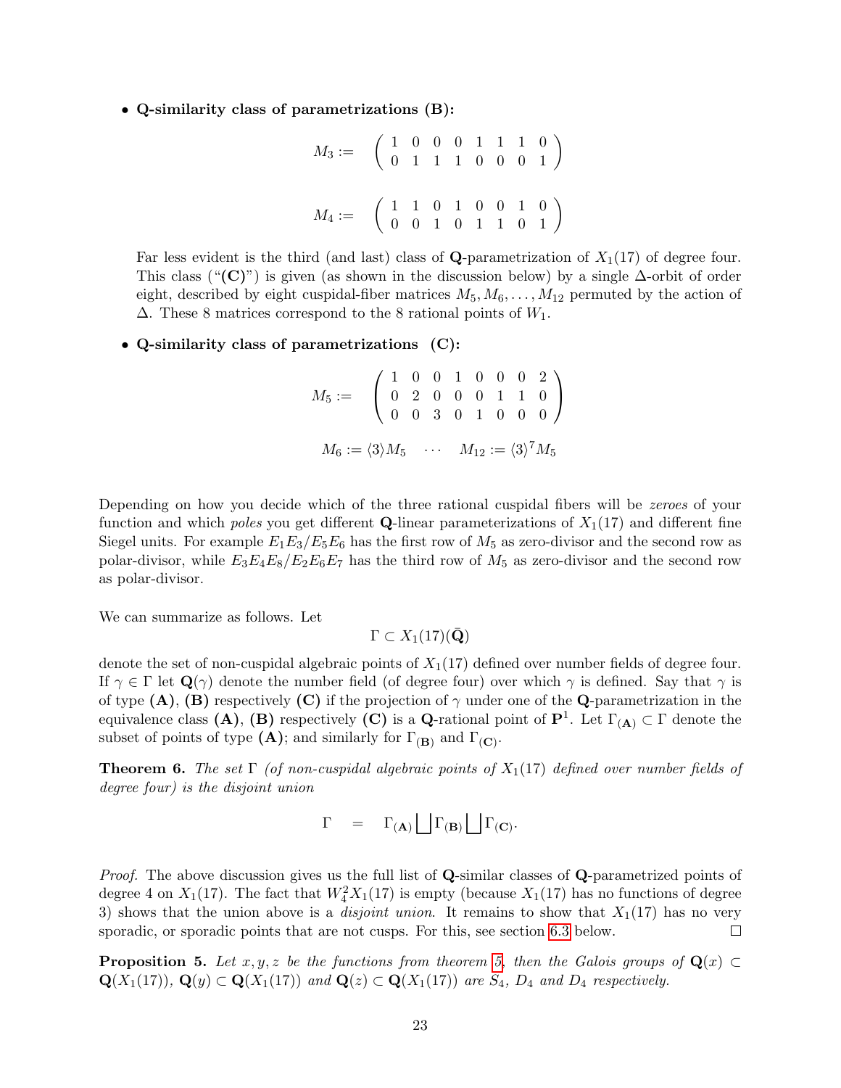• Q-similarity class of parametrizations (B):

$$
M_3 := \left(\begin{array}{rrrrr} 1 & 0 & 0 & 0 & 1 & 1 & 1 & 0 \\ 0 & 1 & 1 & 1 & 0 & 0 & 0 & 1 \end{array}\right)
$$

$$
M_4 := \left(\begin{array}{rrrrr} 1 & 1 & 0 & 1 & 0 & 0 & 1 & 0 \\ 0 & 0 & 1 & 0 & 1 & 1 & 0 & 1 \end{array}\right)
$$

Far less evident is the third (and last) class of Q-parametrization of  $X_1(17)$  of degree four. This class (" $(C)$ ") is given (as shown in the discussion below) by a single  $\Delta$ -orbit of order eight, described by eight cuspidal-fiber matrices  $M_5, M_6, \ldots, M_{12}$  permuted by the action of  $\Delta$ . These 8 matrices correspond to the 8 rational points of  $W_1$ .

• Q-similarity class of parametrizations (C):

$$
M_5 := \begin{pmatrix} 1 & 0 & 0 & 1 & 0 & 0 & 0 & 2 \\ 0 & 2 & 0 & 0 & 0 & 1 & 1 & 0 \\ 0 & 0 & 3 & 0 & 1 & 0 & 0 & 0 \end{pmatrix}
$$

$$
M_6 := \langle 3 \rangle M_5 \quad \cdots \quad M_{12} := \langle 3 \rangle^7 M_5
$$

Depending on how you decide which of the three rational cuspidal fibers will be *zeroes* of your function and which poles you get different **Q**-linear parameterizations of  $X_1(17)$  and different fine Siegel units. For example  $E_1E_3/E_5E_6$  has the first row of  $M_5$  as zero-divisor and the second row as polar-divisor, while  $E_3E_4E_8/E_2E_6E_7$  has the third row of  $M_5$  as zero-divisor and the second row as polar-divisor.

We can summarize as follows. Let

 $\Gamma \subset X_1(17)(\bar{\mathbf{Q}})$ 

denote the set of non-cuspidal algebraic points of  $X_1(17)$  defined over number fields of degree four. If  $\gamma \in \Gamma$  let  $\mathbf{Q}(\gamma)$  denote the number field (of degree four) over which  $\gamma$  is defined. Say that  $\gamma$  is of type  $(A)$ ,  $(B)$  respectively  $(C)$  if the projection of  $\gamma$  under one of the Q-parametrization in the equivalence class (A), (B) respectively (C) is a Q-rational point of  $\mathbf{P}^1$ . Let  $\Gamma_{(A)} \subset \Gamma$  denote the subset of points of type  $(A)$ ; and similarly for  $\Gamma_{(B)}$  and  $\Gamma_{(C)}$ .

**Theorem 6.** The set  $\Gamma$  (of non-cuspidal algebraic points of  $X_1(17)$  defined over number fields of degree four) is the disjoint union

$$
\Gamma = \Gamma_{(A)} \bigsqcup \Gamma_{(B)} \bigsqcup \Gamma_{(C)}.
$$

Proof. The above discussion gives us the full list of Q-similar classes of Q-parametrized points of degree 4 on  $X_1(17)$ . The fact that  $W_4^2 X_1(17)$  is empty (because  $X_1(17)$  has no functions of degree 3) shows that the union above is a *disjoint union*. It remains to show that  $X_1(17)$  has no very sporadic, or sporadic points that are not cusps. For this, see section [6.3](#page-23-0) below.  $\Box$ 

**Proposition 5.** Let x, y, z be the functions from theorem [5,](#page-16-4) then the Galois groups of  $Q(x)$  $\mathbf{Q}(X_1(17)), \mathbf{Q}(y) \subset \mathbf{Q}(X_1(17))$  and  $\mathbf{Q}(z) \subset \mathbf{Q}(X_1(17))$  are  $S_4$ ,  $D_4$  and  $D_4$  respectively.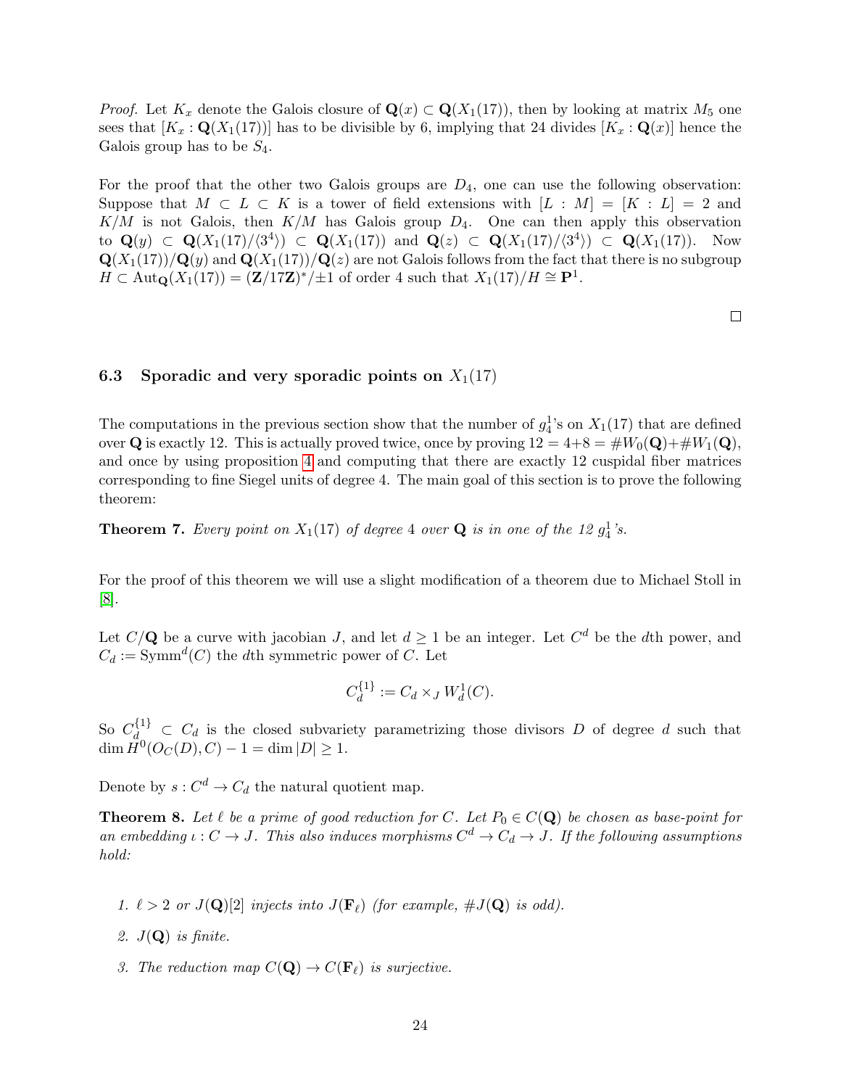*Proof.* Let  $K_x$  denote the Galois closure of  $\mathbf{Q}(x) \subset \mathbf{Q}(X_1(17))$ , then by looking at matrix  $M_5$  one sees that  $[K_x : \mathbf{Q}(X_1(17))]$  has to be divisible by 6, implying that 24 divides  $[K_x : \mathbf{Q}(x)]$  hence the Galois group has to be  $S_4$ .

For the proof that the other two Galois groups are  $D_4$ , one can use the following observation: Suppose that  $M \subset L \subset K$  is a tower of field extensions with  $[L : M] = [K : L] = 2$  and  $K/M$  is not Galois, then  $K/M$  has Galois group  $D_4$ . One can then apply this observation to  ${\bf Q}(y) \subset {\bf Q}(X_1(17)/\langle 3^4 \rangle) \subset {\bf Q}(X_1(17))$  and  ${\bf Q}(z) \subset {\bf Q}(X_1(17)/\langle 3^4 \rangle) \subset {\bf Q}(X_1(17))$ . Now  $\mathbf{Q}(X_1(17))/\mathbf{Q}(y)$  and  $\mathbf{Q}(X_1(17))/\mathbf{Q}(z)$  are not Galois follows from the fact that there is no subgroup  $H \subset \text{Aut}_{\mathbf{Q}}(X_1(17)) = (\mathbf{Z}/17\mathbf{Z})^*/\pm 1$  of order 4 such that  $X_1(17)/H \cong \mathbf{P}^1$ .

 $\Box$ 

#### <span id="page-23-0"></span>6.3 Sporadic and very sporadic points on  $X_1(17)$

The computations in the previous section show that the number of  $g_4^1$ 's on  $X_1(17)$  that are defined over **Q** is exactly 12. This is actually proved twice, once by proving  $12 = 4+8 = \#W_0(\mathbf{Q}) + \#W_1(\mathbf{Q}),$ and once by using proposition [4](#page-13-0) and computing that there are exactly 12 cuspidal fiber matrices corresponding to fine Siegel units of degree 4. The main goal of this section is to prove the following theorem:

**Theorem 7.** Every point on  $X_1(17)$  of degree 4 over **Q** is in one of the 12  $g_4^1$ 's.

For the proof of this theorem we will use a slight modification of a theorem due to Michael Stoll in [\[8\]](#page-26-4).

Let  $C/Q$  be a curve with jacobian J, and let  $d \geq 1$  be an integer. Let  $C<sup>d</sup>$  be the dth power, and  $C_d := \text{Symm}^d(C)$  the dth symmetric power of C. Let

$$
C_d^{\{1\}} := C_d \times_J W_d^1(C).
$$

So  $C_{d}^{\{1\}} \subset C_d$  is the closed subvariety parametrizing those divisors D of degree d such that  $\dim \tilde{H}^0(O_C(D), C) - 1 = \dim |D| \geq 1.$ 

Denote by  $s: C^d \to C_d$  the natural quotient map.

<span id="page-23-4"></span>**Theorem 8.** Let  $\ell$  be a prime of good reduction for C. Let  $P_0 \in C(\mathbf{Q})$  be chosen as base-point for an embedding  $\iota: C \to J$ . This also induces morphisms  $C^d \to C_d \to J$ . If the following assumptions hold:

- <span id="page-23-2"></span>1.  $\ell > 2$  or  $J(\mathbf{Q})[2]$  injects into  $J(\mathbf{F}_{\ell})$  (for example,  $\#J(\mathbf{Q})$  is odd).
- <span id="page-23-1"></span>2.  $J(\mathbf{Q})$  is finite.
- <span id="page-23-3"></span>3. The reduction map  $C(\mathbf{Q}) \to C(\mathbf{F}_{\ell})$  is surjective.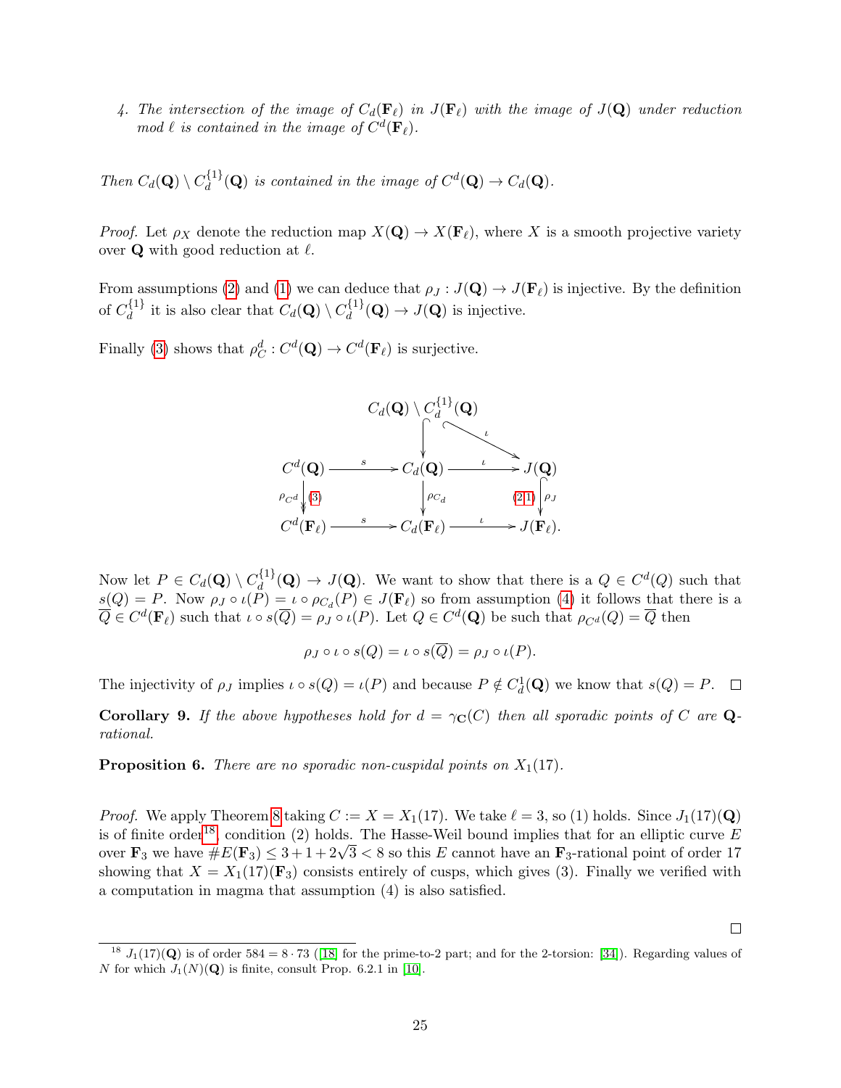<span id="page-24-1"></span>4. The intersection of the image of  $C_d(\mathbf{F}_{\ell})$  in  $J(\mathbf{F}_{\ell})$  with the image of  $J(\mathbf{Q})$  under reduction mod  $\ell$  is contained in the image of  $C^d(\mathbf{F}_{\ell})$ .

Then  $C_d(\mathbf{Q}) \setminus C_d^{\{1\}}$  $d_d^{\{1\}}(\mathbf{Q})$  is contained in the image of  $C^d(\mathbf{Q}) \to C_d(\mathbf{Q})$ .

*Proof.* Let  $\rho_X$  denote the reduction map  $X(\mathbf{Q}) \to X(\mathbf{F}_{\ell})$ , where X is a smooth projective variety over **Q** with good reduction at  $\ell$ .

From assumptions [\(2\)](#page-23-1) and [\(1\)](#page-23-2) we can deduce that  $\rho_J : J(\mathbf{Q}) \to J(\mathbf{F}_{\ell})$  is injective. By the definition of  $C_d^{\{1\}}$  $d_d^{\{1\}}$  it is also clear that  $C_d(\mathbf{Q}) \setminus C_d^{\{1\}}$  $d_d^{(1)}(\mathbf{Q}) \to J(\mathbf{Q})$  is injective.

Finally [\(3\)](#page-23-3) shows that  $\rho_C^d: C^d(\mathbf{Q}) \to C^d(\mathbf{F}_{\ell})$  is surjective.



Now let  $P \in C_d(\mathbf{Q}) \setminus C_d^{\{1\}}$  $d_d^{\{1\}}(\mathbf{Q}) \to J(\mathbf{Q})$ . We want to show that there is a  $Q \in C^d(Q)$  such that  $s(Q) = P$ . Now  $\rho_J \circ \iota(P) = \iota \circ \rho_{C_d}(P) \in J(\mathbf{F}_{\ell})$  so from assumption [\(4\)](#page-24-1) it follows that there is a  $\overline{Q} \in C^d(\mathbf{F}_{\ell})$  such that  $\iota \circ s(\overline{Q}) = \rho_J \circ \iota(P)$ . Let  $Q \in C^d(\mathbf{Q})$  be such that  $\rho_{C^d}(Q) = \overline{Q}$  then

$$
\rho_J \circ \iota \circ s(Q) = \iota \circ s(\overline{Q}) = \rho_J \circ \iota(P).
$$

The injectivity of  $\rho_J$  implies  $\iota \circ s(Q) = \iota(P)$  and because  $P \notin C_d^1(\mathbf{Q})$  we know that  $s(Q) = P$ .

Corollary 9. If the above hypotheses hold for  $d = \gamma_{\mathbf{C}}(C)$  then all sporadic points of C are Qrational.

<span id="page-24-0"></span>**Proposition 6.** There are no sporadic non-cuspidal points on  $X_1(17)$ .

*Proof.* We apply Theorem [8](#page-23-4) taking  $C := X = X_1(17)$ . We take  $\ell = 3$ , so (1) holds. Since  $J_1(17)(\mathbf{Q})$ is of finite order<sup>[18](#page-24-2)</sup>, condition (2) holds. The Hasse-Weil bound implies that for an elliptic curve  $E$ is of finite order<sup>--</sup>, condition (2) holds. The rasse-well bound implies that for an emptic curve E over  $\mathbf{F}_3$  we have  $\#E(\mathbf{F}_3) \leq 3 + 1 + 2\sqrt{3} < 8$  so this E cannot have an  $\mathbf{F}_3$ -rational point of order 17 showing that  $X = X_1(17)(\mathbf{F}_3)$  consists entirely of cusps, which gives (3). Finally we verified with a computation in magma that assumption (4) is also satisfied.

 $\Box$ 

<span id="page-24-2"></span> $\frac{18}{16}$  J<sub>1</sub>(17)(Q) is of order 584 = 8 · 73 ([\[18\]](#page-26-15) for the prime-to-2 part; and for the 2-torsion: [\[34\]](#page-27-8)). Regarding values of N for which  $J_1(N)(\mathbf{Q})$  is finite, consult Prop. 6.2.1 in [\[10\]](#page-26-16).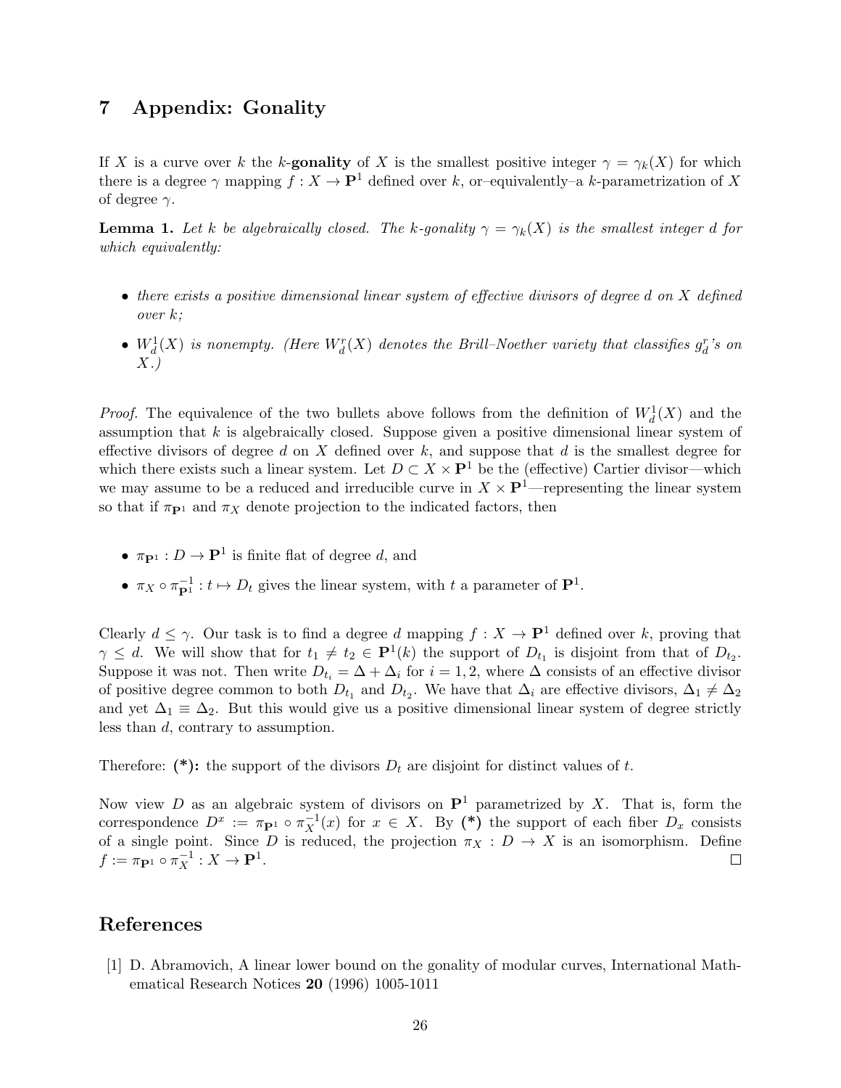# <span id="page-25-0"></span>7 Appendix: Gonality

If X is a curve over k the k-gonality of X is the smallest positive integer  $\gamma = \gamma_k(X)$  for which there is a degree  $\gamma$  mapping  $f: X \to \mathbf{P}^1$  defined over k, or-equivalently–a k-parametrization of X of degree  $\gamma$ .

<span id="page-25-2"></span>**Lemma 1.** Let k be algebraically closed. The k-gonality  $\gamma = \gamma_k(X)$  is the smallest integer d for which equivalently:

- $\bullet$  there exists a positive dimensional linear system of effective divisors of degree d on X defined over k;
- $W_d^1(X)$  is nonempty. (Here  $W_d^r(X)$  denotes the Brill–Noether variety that classifies  $g_d^r$ 's on X.)

*Proof.* The equivalence of the two bullets above follows from the definition of  $W_d^1(X)$  and the assumption that  $k$  is algebraically closed. Suppose given a positive dimensional linear system of effective divisors of degree d on X defined over  $k$ , and suppose that d is the smallest degree for which there exists such a linear system. Let  $D \subset X \times \mathbf{P}^1$  be the (effective) Cartier divisor—which we may assume to be a reduced and irreducible curve in  $X \times \mathbf{P}^1$ —representing the linear system so that if  $\pi_{\mathbf{P}^1}$  and  $\pi_X$  denote projection to the indicated factors, then

- $\pi_{\mathbf{P}^1}: D \to \mathbf{P}^1$  is finite flat of degree d, and
- $\bullet~~ \pi_X\circ \pi_{{\bf P}^1}^{-1}$  $P^{-1}_1: t \mapsto D_t$  gives the linear system, with t a parameter of  $\mathbf{P}^1$ .

Clearly  $d \leq \gamma$ . Our task is to find a degree d mapping  $f : X \to \mathbf{P}^1$  defined over k, proving that  $\gamma \leq d$ . We will show that for  $t_1 \neq t_2 \in \mathbf{P}^1(k)$  the support of  $D_{t_1}$  is disjoint from that of  $D_{t_2}$ . Suppose it was not. Then write  $D_{t_i} = \Delta + \Delta_i$  for  $i = 1, 2$ , where  $\Delta$  consists of an effective divisor of positive degree common to both  $D_{t_1}$  and  $D_{t_2}$ . We have that  $\Delta_i$  are effective divisors,  $\Delta_1 \neq \Delta_2$ and yet  $\Delta_1 \equiv \Delta_2$ . But this would give us a positive dimensional linear system of degree strictly less than d, contrary to assumption.

Therefore: (\*): the support of the divisors  $D_t$  are disjoint for distinct values of t.

Now view D as an algebraic system of divisors on  $\mathbf{P}^1$  parametrized by X. That is, form the correspondence  $D^x := \pi_{\mathbf{P}^1} \circ \pi_X^{-1}(x)$  for  $x \in X$ . By (\*) the support of each fiber  $D_x$  consists of a single point. Since D is reduced, the projection  $\pi_X : D \to X$  is an isomorphism. Define  $f := \pi_{\mathbf{P}^1} \circ \pi_X^{-1} : X \to \mathbf{P}^1.$  $\Box$ 

# References

<span id="page-25-1"></span>[1] D. Abramovich, A linear lower bound on the gonality of modular curves, International Mathematical Research Notices 20 (1996) 1005-1011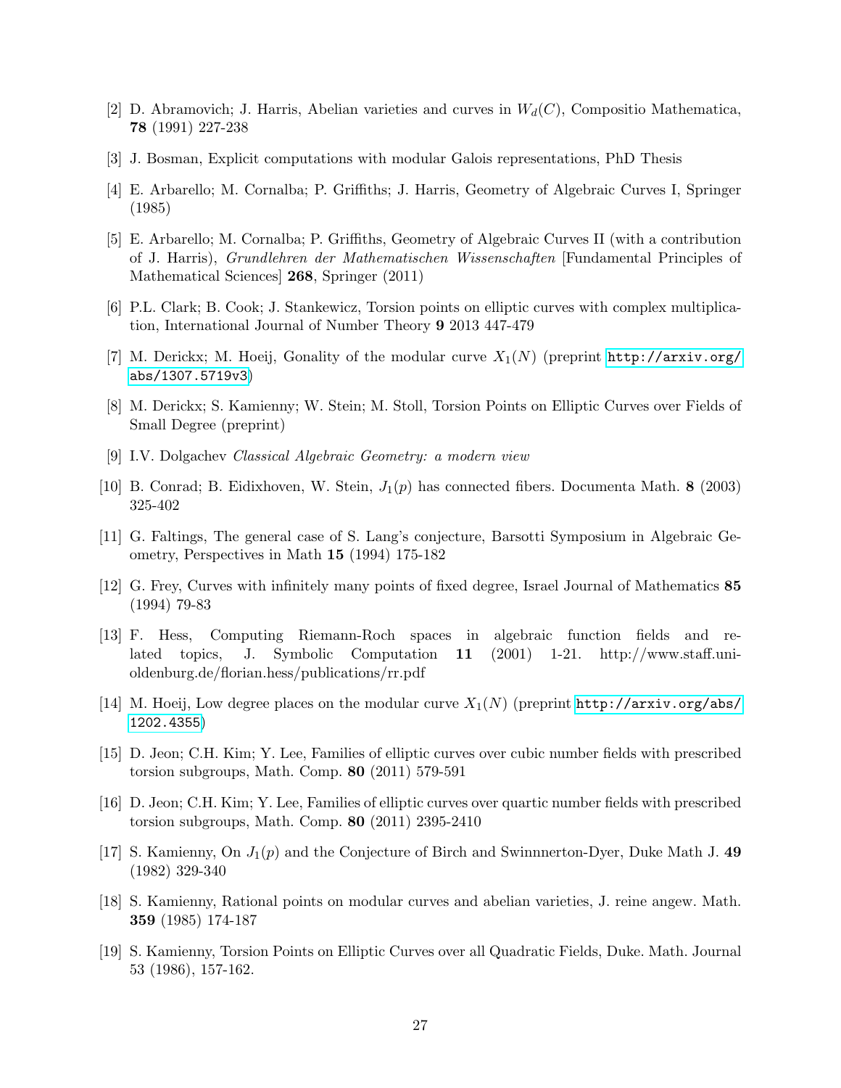- <span id="page-26-11"></span>[2] D. Abramovich; J. Harris, Abelian varieties and curves in  $W_d(C)$ , Compositio Mathematica, 78 (1991) 227-238
- <span id="page-26-14"></span>[3] J. Bosman, Explicit computations with modular Galois representations, PhD Thesis
- <span id="page-26-7"></span>[4] E. Arbarello; M. Cornalba; P. Griffiths; J. Harris, Geometry of Algebraic Curves I, Springer (1985)
- <span id="page-26-8"></span>[5] E. Arbarello; M. Cornalba; P. Griffiths, Geometry of Algebraic Curves II (with a contribution of J. Harris), Grundlehren der Mathematischen Wissenschaften [Fundamental Principles of Mathematical Sciences] 268, Springer (2011)
- <span id="page-26-5"></span>[6] P.L. Clark; B. Cook; J. Stankewicz, Torsion points on elliptic curves with complex multiplication, International Journal of Number Theory 9 2013 447-479
- <span id="page-26-0"></span>[7] M. Derickx; M. Hoeij, Gonality of the modular curve  $X_1(N)$  (preprint [http://arxiv.org/](http://arxiv.org/abs/1307.5719v3) [abs/1307.5719v3](http://arxiv.org/abs/1307.5719v3))
- <span id="page-26-4"></span>[8] M. Derickx; S. Kamienny; W. Stein; M. Stoll, Torsion Points on Elliptic Curves over Fields of Small Degree (preprint)
- <span id="page-26-9"></span>[9] I.V. Dolgachev Classical Algebraic Geometry: a modern view
- <span id="page-26-16"></span>[10] B. Conrad; B. Eidixhoven, W. Stein,  $J_1(p)$  has connected fibers. Documenta Math. 8 (2003) 325-402
- <span id="page-26-10"></span>[11] G. Faltings, The general case of S. Lang's conjecture, Barsotti Symposium in Algebraic Geometry, Perspectives in Math 15 (1994) 175-182
- <span id="page-26-6"></span>[12] G. Frey, Curves with infinitely many points of fixed degree, Israel Journal of Mathematics 85 (1994) 79-83
- <span id="page-26-13"></span>[13] F. Hess, Computing Riemann-Roch spaces in algebraic function fields and related topics, J. Symbolic Computation 11 (2001) 1-21. http://www.staff.unioldenburg.de/florian.hess/publications/rr.pdf
- <span id="page-26-1"></span>[14] M. Hoeij, Low degree places on the modular curve  $X_1(N)$  (preprint [http://arxiv.org/abs/](http://arxiv.org/abs/1202.4355) [1202.4355](http://arxiv.org/abs/1202.4355))
- <span id="page-26-2"></span>[15] D. Jeon; C.H. Kim; Y. Lee, Families of elliptic curves over cubic number fields with prescribed torsion subgroups, Math. Comp. 80 (2011) 579-591
- <span id="page-26-3"></span>[16] D. Jeon; C.H. Kim; Y. Lee, Families of elliptic curves over quartic number fields with prescribed torsion subgroups, Math. Comp. 80 (2011) 2395-2410
- [17] S. Kamienny, On  $J_1(p)$  and the Conjecture of Birch and Swinnnerton-Dyer, Duke Math J. 49 (1982) 329-340
- <span id="page-26-15"></span>[18] S. Kamienny, Rational points on modular curves and abelian varieties, J. reine angew. Math. 359 (1985) 174-187
- <span id="page-26-12"></span>[19] S. Kamienny, Torsion Points on Elliptic Curves over all Quadratic Fields, Duke. Math. Journal 53 (1986), 157-162.